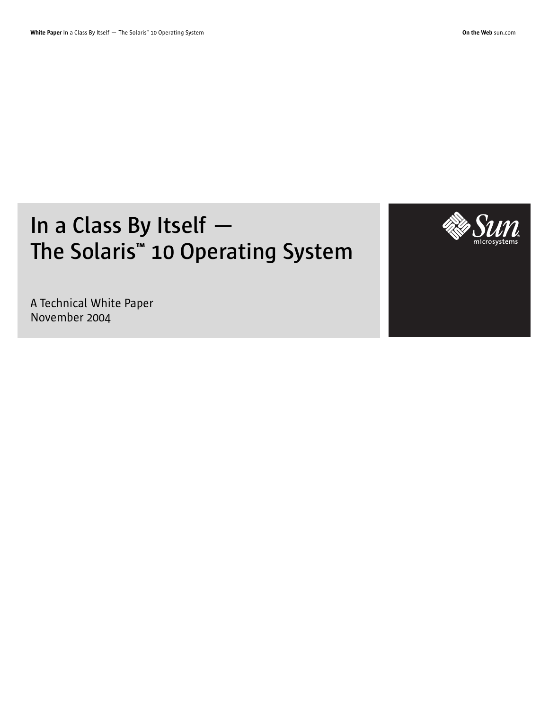# **In a Class By Itself — The Solaris™ 10 Operating System**



A Technical White Paper November 2004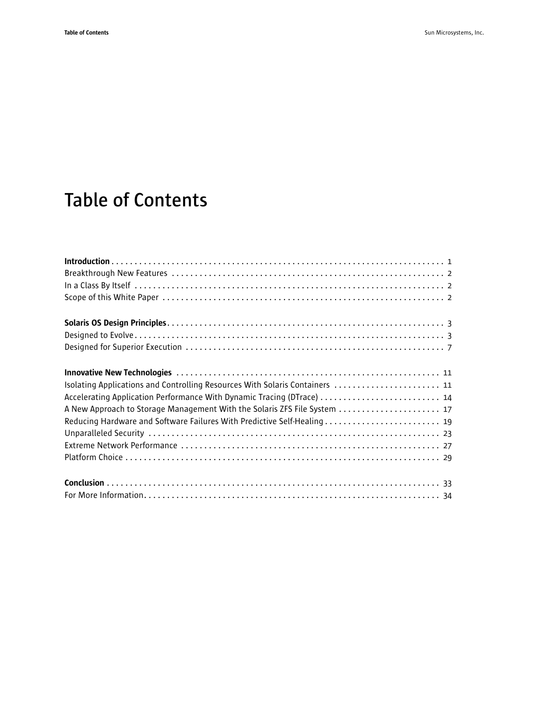## **Table of Contents**

| Isolating Applications and Controlling Resources With Solaris Containers  11 |
|------------------------------------------------------------------------------|
| Accelerating Application Performance With Dynamic Tracing (DTrace)  14       |
| A New Approach to Storage Management With the Solaris ZFS File System  17    |
|                                                                              |
|                                                                              |
|                                                                              |
|                                                                              |
|                                                                              |
|                                                                              |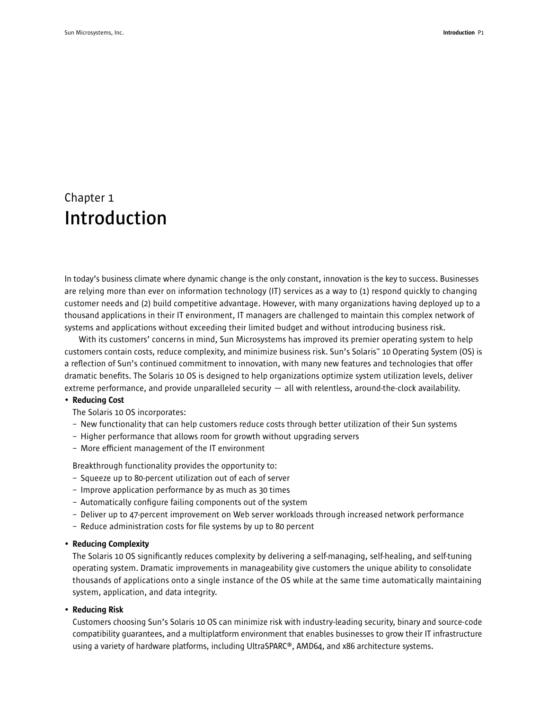## Chapter 1 **Introduction**

In today's business climate where dynamic change is the only constant, innovation is the key to success. Businesses are relying more than ever on information technology (IT) services as a way to (1) respond quickly to changing customer needs and (2) build competitive advantage. However, with many organizations having deployed up to a thousand applications in their IT environment, IT managers are challenged to maintain this complex network of systems and applications without exceeding their limited budget and without introducing business risk.

With its customers' concerns in mind, Sun Microsystems has improved its premier operating system to help customers contain costs, reduce complexity, and minimize business risk. Sun's Solaris™ 10 Operating System (OS) is a reflection of Sun's continued commitment to innovation, with many new features and technologies that offer dramatic benefits. The Solaris 10 OS is designed to help organizations optimize system utilization levels, deliver extreme performance, and provide unparalleled security  $-$  all with relentless, around-the-clock availability.

#### • Reducing Cost

The Solaris 10 OS incorporates:

- New functionality that can help customers reduce costs through better utilization of their Sun systems
- Higher performance that allows room for growth without upgrading servers
- More efficient management of the IT environment

Breakthrough functionality provides the opportunity to:

- Squeeze up to 80-percent utilization out of each of server
- Improve application performance by as much as 30 times
- Automatically configure failing components out of the system
- Deliver up to 47-percent improvement on Web server workloads through increased network performance
- Reduce administration costs for file systems by up to 80 percent

#### • Reducing Complexity

The Solaris 10 OS significantly reduces complexity by delivering a self-managing, self-healing, and self-tuning operating system. Dramatic improvements in manageability give customers the unique ability to consolidate thousands of applications onto a single instance of the OS while at the same time automatically maintaining system, application, and data integrity.

#### • Reducing Risk

Customers choosing Sun's Solaris 10 OS can minimize risk with industry-leading security, binary and source-code compatibility guarantees, and a multiplatform environment that enables businesses to grow their IT infrastructure using a variety of hardware platforms, including UltraSPARC®, AMD64, and x86 architecture systems.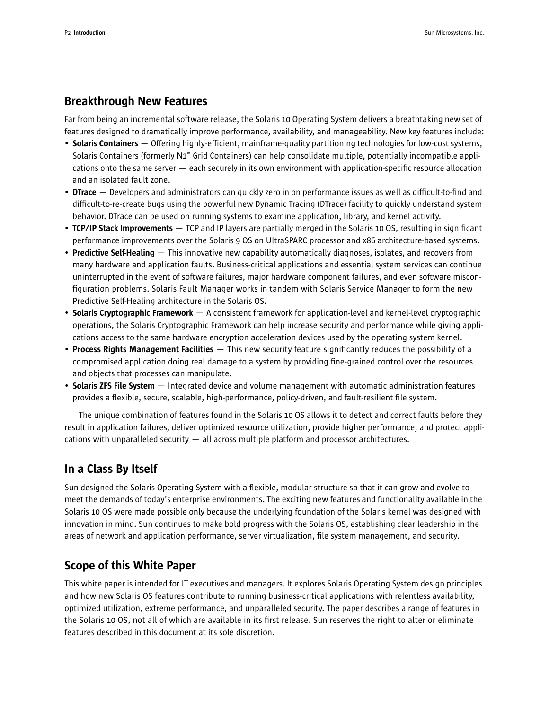## Breakthrough New Features

Far from being an incremental software release, the Solaris 10 Operating System delivers a breathtaking new set of features designed to dramatically improve performance, availability, and manageability. New key features include:

- Solaris Containers Offering highly-efficient, mainframe-quality partitioning technologies for low-cost systems, Solaris Containers (formerly N1™ Grid Containers) can help consolidate multiple, potentially incompatible applications onto the same server — each securely in its own environment with application-specific resource allocation and an isolated fault zone.
- DTrace Developers and administrators can quickly zero in on performance issues as well as difficult-to-find and difficult-to-re-create bugs using the powerful new Dynamic Tracing (DTrace) facility to quickly understand system behavior. DTrace can be used on running systems to examine application, library, and kernel activity.
- **TCP/IP Stack Improvements** TCP and IP layers are partially merged in the Solaris 10 OS, resulting in significant performance improvements over the Solaris 9 OS on UltraSPARC processor and x86 architecture-based systems.
- Predictive Self-Healing This innovative new capability automatically diagnoses, isolates, and recovers from many hardware and application faults. Business-critical applications and essential system services can continue uninterrupted in the event of software failures, major hardware component failures, and even software misconfiguration problems. Solaris Fault Manager works in tandem with Solaris Service Manager to form the new Predictive Self-Healing architecture in the Solaris OS.
- Solaris Cryptographic Framework A consistent framework for application-level and kernel-level cryptographic operations, the Solaris Cryptographic Framework can help increase security and performance while giving applications access to the same hardware encryption acceleration devices used by the operating system kernel.
- Process Rights Management Facilities  $-$  This new security feature significantly reduces the possibility of a compromised application doing real damage to a system by providing fine-grained control over the resources and objects that processes can manipulate.
- Solaris ZFS File System Integrated device and volume management with automatic administration features provides a flexible, secure, scalable, high-performance, policy-driven, and fault-resilient file system.

The unique combination of features found in the Solaris 10 OS allows it to detect and correct faults before they result in application failures, deliver optimized resource utilization, provide higher performance, and protect applications with unparalleled security — all across multiple platform and processor architectures.

## In a Class By Itself

Sun designed the Solaris Operating System with a flexible, modular structure so that it can grow and evolve to meet the demands of today's enterprise environments. The exciting new features and functionality available in the Solaris 10 OS were made possible only because the underlying foundation of the Solaris kernel was designed with innovation in mind. Sun continues to make bold progress with the Solaris OS, establishing clear leadership in the areas of network and application performance, server virtualization, file system management, and security.

## Scope of this White Paper

This white paper is intended for IT executives and managers. It explores Solaris Operating System design principles and how new Solaris OS features contribute to running business-critical applications with relentless availability, optimized utilization, extreme performance, and unparalleled security. The paper describes a range of features in the Solaris 10 OS, not all of which are available in its first release. Sun reserves the right to alter or eliminate features described in this document at its sole discretion.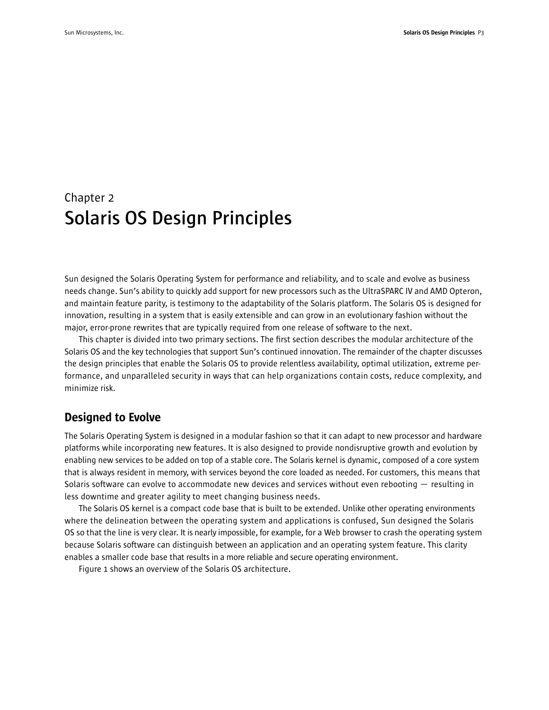## Chapter 2 **Solaris OS Design Principles**

Sun designed the Solaris Operating System for performance and reliability, and to scale and evolve as business needs change. Sun's ability to quickly add support for new processors such as the UltraSPARC IV and AMD Opteron, and maintain feature parity, is testimony to the adaptability of the Solaris platform. The Solaris OS is designed for innovation, resulting in a system that is easily extensible and can grow in an evolutionary fashion without the major, error-prone rewrites that are typically required from one release of software to the next.

This chapter is divided into two primary sections. The first section describes the modular architecture of the Solaris OS and the key technologies that support Sun's continued innovation. The remainder of the chapter discusses the design principles that enable the Solaris OS to provide relentless availability, optimal utilization, extreme performance, and unparalleled security in ways that can help organizations contain costs, reduce complexity, and minimize risk.

## Designed to Evolve

The Solaris Operating System is designed in a modular fashion so that it can adapt to new processor and hardware platforms while incorporating new features. It is also designed to provide nondisruptive growth and evolution by enabling new services to be added on top of a stable core. The Solaris kernel is dynamic, composed of a core system that is always resident in memory, with services beyond the core loaded as needed. For customers, this means that Solaris software can evolve to accommodate new devices and services without even rebooting — resulting in less downtime and greater agility to meet changing business needs.

The Solaris OS kernel is a compact code base that is built to be extended. Unlike other operating environments where the delineation between the operating system and applications is confused, Sun designed the Solaris OS so that the line is very clear. It is nearly impossible, for example, for a Web browser to crash the operating system because Solaris software can distinguish between an application and an operating system feature. This clarity enables a smaller code base that results in a more reliable and secure operating environment.

Figure 1 shows an overview of the Solaris OS architecture.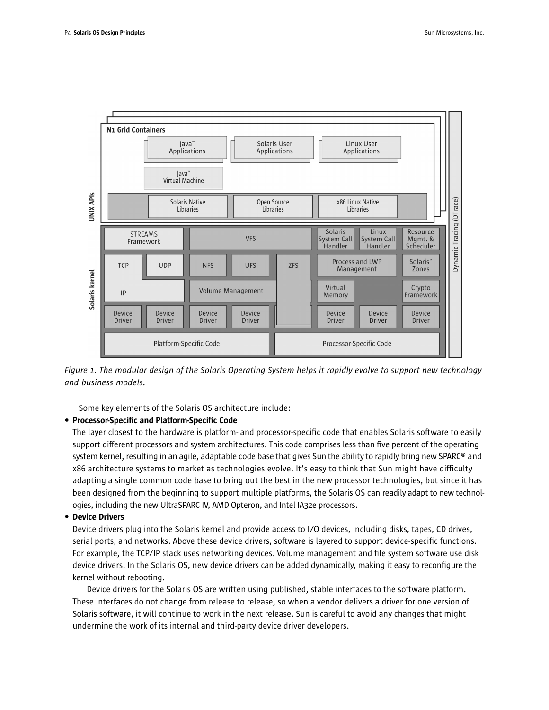

*Figure 1. The modular design of the Solaris Operating System helps it rapidly evolve to support new technology and business models.*

Some key elements of the Solaris OS architecture include:

#### • Processor-Specific and Platform-Specific Code

The layer closest to the hardware is platform- and processor-specific code that enables Solaris software to easily support different processors and system architectures. This code comprises less than five percent of the operating system kernel, resulting in an agile, adaptable code base that gives Sun the ability to rapidly bring new SPARC® and x86 architecture systems to market as technologies evolve. It's easy to think that Sun might have difficulty adapting a single common code base to bring out the best in the new processor technologies, but since it has been designed from the beginning to support multiple platforms, the Solaris OS can readily adapt to new technologies, including the new UltraSPARC IV, AMD Opteron, and Intel IA32e processors.

#### • Device Drivers

Device drivers plug into the Solaris kernel and provide access to I/O devices, including disks, tapes, CD drives, serial ports, and networks. Above these device drivers, software is layered to support device-specific functions. For example, the TCP/IP stack uses networking devices. Volume management and file system software use disk device drivers. In the Solaris OS, new device drivers can be added dynamically, making it easy to reconfigure the kernel without rebooting.

Device drivers for the Solaris OS are written using published, stable interfaces to the software platform. These interfaces do not change from release to release, so when a vendor delivers a driver for one version of Solaris software, it will continue to work in the next release. Sun is careful to avoid any changes that might undermine the work of its internal and third-party device driver developers.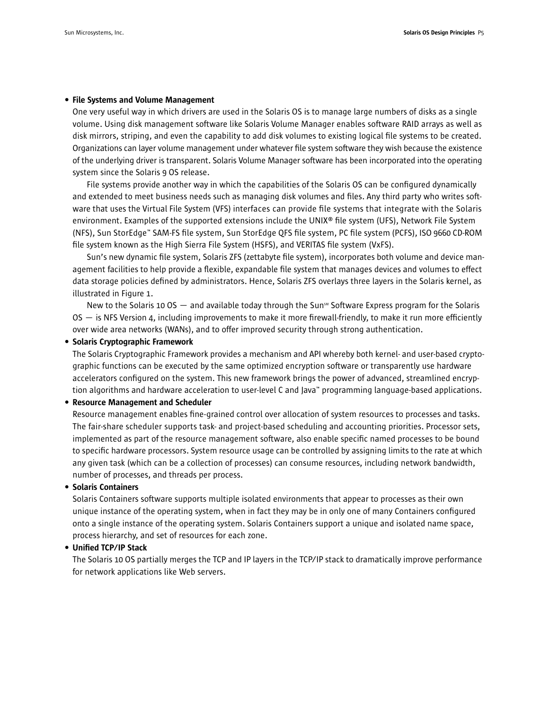#### • File Systems and Volume Management

One very useful way in which drivers are used in the Solaris OS is to manage large numbers of disks as a single volume. Using disk management software like Solaris Volume Manager enables software RAID arrays as well as disk mirrors, striping, and even the capability to add disk volumes to existing logical file systems to be created. Organizations can layer volume management under whatever file system software they wish because the existence of the underlying driver is transparent. Solaris Volume Manager software has been incorporated into the operating system since the Solaris 9 OS release.

File systems provide another way in which the capabilities of the Solaris OS can be configured dynamically and extended to meet business needs such as managing disk volumes and files. Any third party who writes software that uses the Virtual File System (VFS) interfaces can provide file systems that integrate with the Solaris environment. Examples of the supported extensions include the UNIX® file system (UFS), Network File System (NFS), Sun StorEdge™ SAM-FS file system, Sun StorEdge QFS file system, PC file system (PCFS), ISO 9660 CD-ROM file system known as the High Sierra File System (HSFS), and VERITAS file system (VxFS).

Sun's new dynamic file system, Solaris ZFS (zettabyte file system), incorporates both volume and device management facilities to help provide a flexible, expandable file system that manages devices and volumes to effect data storage policies defined by administrators. Hence, Solaris ZFS overlays three layers in the Solaris kernel, as illustrated in Figure 1.

New to the Solaris 10 OS  $-$  and available today through the Sun<sup>om</sup> Software Express program for the Solaris OS — is NFS Version 4, including improvements to make it more firewall-friendly, to make it run more efficiently over wide area networks (WANs), and to offer improved security through strong authentication.

#### • Solaris Cryptographic Framework

The Solaris Cryptographic Framework provides a mechanism and API whereby both kernel- and user-based cryptographic functions can be executed by the same optimized encryption software or transparently use hardware accelerators configured on the system. This new framework brings the power of advanced, streamlined encryption algorithms and hardware acceleration to user-level C and Java™ programming language-based applications.

#### • Resource Management and Scheduler

Resource management enables fine-grained control over allocation of system resources to processes and tasks. The fair-share scheduler supports task- and project-based scheduling and accounting priorities. Processor sets, implemented as part of the resource management software, also enable specific named processes to be bound to specific hardware processors. System resource usage can be controlled by assigning limits to the rate at which any given task (which can be a collection of processes) can consume resources, including network bandwidth, number of processes, and threads per process.

#### • Solaris Containers

Solaris Containers software supports multiple isolated environments that appear to processes as their own unique instance of the operating system, when in fact they may be in only one of many Containers configured onto a single instance of the operating system. Solaris Containers support a unique and isolated name space, process hierarchy, and set of resources for each zone.

#### • Unified TCP/IP Stack

The Solaris 10 OS partially merges the TCP and IP layers in the TCP/IP stack to dramatically improve performance for network applications like Web servers.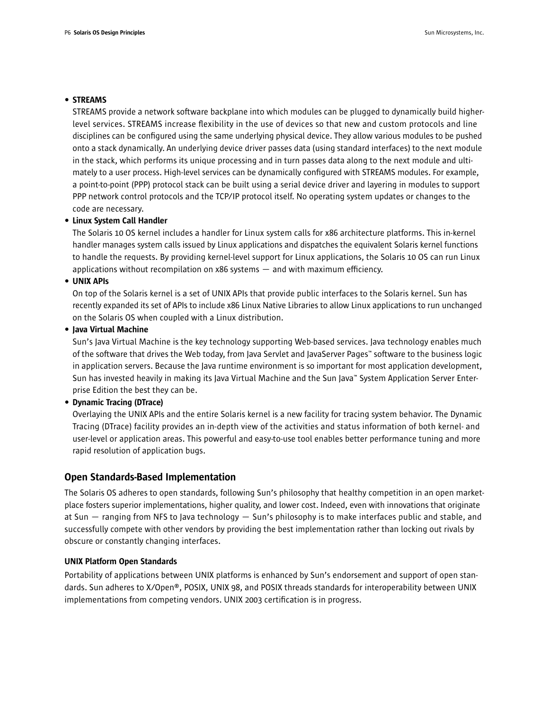#### • STREAMS

STREAMS provide a network software backplane into which modules can be plugged to dynamically build higherlevel services. STREAMS increase flexibility in the use of devices so that new and custom protocols and line disciplines can be configured using the same underlying physical device. They allow various modules to be pushed onto a stack dynamically. An underlying device driver passes data (using standard interfaces) to the next module in the stack, which performs its unique processing and in turn passes data along to the next module and ultimately to a user process. High-level services can be dynamically configured with STREAMS modules. For example, a point-to-point (PPP) protocol stack can be built using a serial device driver and layering in modules to support PPP network control protocols and the TCP/IP protocol itself. No operating system updates or changes to the code are necessary.

#### • Linux System Call Handler

The Solaris 10 OS kernel includes a handler for Linux system calls for x86 architecture platforms. This in-kernel handler manages system calls issued by Linux applications and dispatches the equivalent Solaris kernel functions to handle the requests. By providing kernel-level support for Linux applications, the Solaris 10 OS can run Linux applications without recompilation on x86 systems — and with maximum efficiency.

#### • UNIX APIs

On top of the Solaris kernel is a set of UNIX APIs that provide public interfaces to the Solaris kernel. Sun has recently expanded its set of APIs to include x86 Linux Native Libraries to allow Linux applications to run unchanged on the Solaris OS when coupled with a Linux distribution.

#### • Java Virtual Machine

Sun's Java Virtual Machine is the key technology supporting Web-based services. Java technology enables much of the software that drives the Web today, from Java Servlet and JavaServer Pages™ software to the business logic in application servers. Because the Java runtime environment is so important for most application development, Sun has invested heavily in making its Java Virtual Machine and the Sun Java™ System Application Server Enterprise Edition the best they can be.

#### • Dynamic Tracing (DTrace)

Overlaying the UNIX APIs and the entire Solaris kernel is a new facility for tracing system behavior. The Dynamic Tracing (DTrace) facility provides an in-depth view of the activities and status information of both kernel- and user-level or application areas. This powerful and easy-to-use tool enables better performance tuning and more rapid resolution of application bugs.

#### Open Standards-Based Implementation

The Solaris OS adheres to open standards, following Sun's philosophy that healthy competition in an open marketplace fosters superior implementations, higher quality, and lower cost. Indeed, even with innovations that originate at Sun — ranging from NFS to Java technology — Sun's philosophy is to make interfaces public and stable, and successfully compete with other vendors by providing the best implementation rather than locking out rivals by obscure or constantly changing interfaces.

#### UNIX Platform Open Standards

Portability of applications between UNIX platforms is enhanced by Sun's endorsement and support of open standards. Sun adheres to X/Open®, POSIX, UNIX 98, and POSIX threads standards for interoperability between UNIX implementations from competing vendors. UNIX 2003 certification is in progress.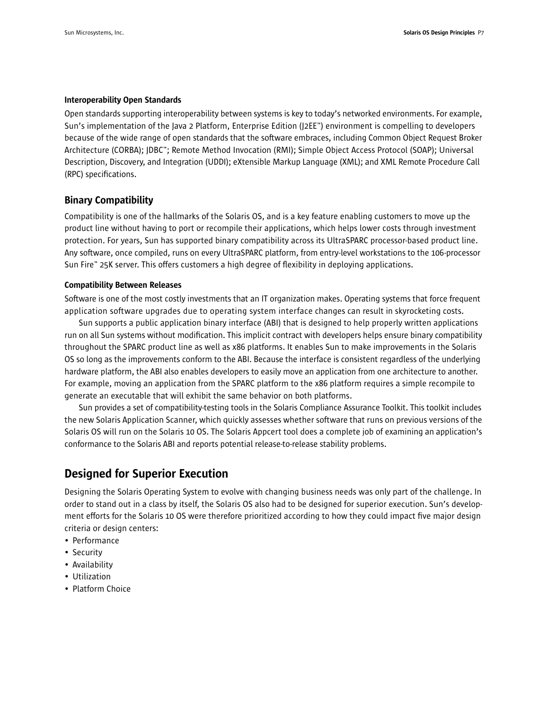#### Interoperability Open Standards

Open standards supporting interoperability between systems is key to today's networked environments. For example, Sun's implementation of the Java 2 Platform, Enterprise Edition (J2EE™) environment is compelling to developers because of the wide range of open standards that the software embraces, including Common Object Request Broker Architecture (CORBA); JDBC™; Remote Method Invocation (RMI); Simple Object Access Protocol (SOAP); Universal Description, Discovery, and Integration (UDDI); eXtensible Markup Language (XML); and XML Remote Procedure Call (RPC) specifications.

#### Binary Compatibility

Compatibility is one of the hallmarks of the Solaris OS, and is a key feature enabling customers to move up the product line without having to port or recompile their applications, which helps lower costs through investment protection. For years, Sun has supported binary compatibility across its UltraSPARC processor-based product line. Any software, once compiled, runs on every UltraSPARC platform, from entry-level workstations to the 106-processor Sun Fire™ 25K server. This offers customers a high degree of flexibility in deploying applications.

#### Compatibility Between Releases

Software is one of the most costly investments that an IT organization makes. Operating systems that force frequent application software upgrades due to operating system interface changes can result in skyrocketing costs.

Sun supports a public application binary interface (ABI) that is designed to help properly written applications run on all Sun systems without modification. This implicit contract with developers helps ensure binary compatibility throughout the SPARC product line as well as x86 platforms. It enables Sun to make improvements in the Solaris OS so long as the improvements conform to the ABI. Because the interface is consistent regardless of the underlying hardware platform, the ABI also enables developers to easily move an application from one architecture to another. For example, moving an application from the SPARC platform to the x86 platform requires a simple recompile to generate an executable that will exhibit the same behavior on both platforms.

Sun provides a set of compatibility-testing tools in the Solaris Compliance Assurance Toolkit. This toolkit includes the new Solaris Application Scanner, which quickly assesses whether software that runs on previous versions of the Solaris OS will run on the Solaris 10 OS. The Solaris Appcert tool does a complete job of examining an application's conformance to the Solaris ABI and reports potential release-to-release stability problems.

## Designed for Superior Execution

Designing the Solaris Operating System to evolve with changing business needs was only part of the challenge. In order to stand out in a class by itself, the Solaris OS also had to be designed for superior execution. Sun's development efforts for the Solaris 10 OS were therefore prioritized according to how they could impact five major design criteria or design centers:

- Performance
- Security
- Availability
- Utilization
- Platform Choice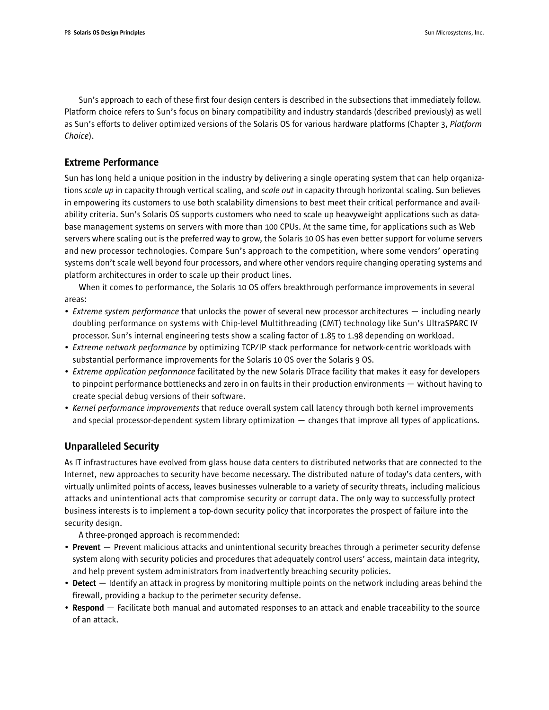Sun's approach to each of these first four design centers is described in the subsections that immediately follow. Platform choice refers to Sun's focus on binary compatibility and industry standards (described previously) as well as Sun's efforts to deliver optimized versions of the Solaris OS for various hardware platforms (Chapter 3, *Platform Choice*).

### Extreme Performance

Sun has long held a unique position in the industry by delivering a single operating system that can help organizations *scale up* in capacity through vertical scaling, and *scale out* in capacity through horizontal scaling. Sun believes in empowering its customers to use both scalability dimensions to best meet their critical performance and availability criteria. Sun's Solaris OS supports customers who need to scale up heavyweight applications such as database management systems on servers with more than 100 CPUs. At the same time, for applications such as Web servers where scaling out is the preferred way to grow, the Solaris 10 OS has even better support for volume servers and new processor technologies. Compare Sun's approach to the competition, where some vendors' operating systems don't scale well beyond four processors, and where other vendors require changing operating systems and platform architectures in order to scale up their product lines.

When it comes to performance, the Solaris 10 OS offers breakthrough performance improvements in several areas:

- *Extreme system performance* that unlocks the power of several new processor architectures including nearly doubling performance on systems with Chip-level Multithreading (CMT) technology like Sun's UltraSPARC IV processor. Sun's internal engineering tests show a scaling factor of 1.85 to 1.98 depending on workload.
- *Extreme network performance* by optimizing TCP/IP stack performance for network-centric workloads with substantial performance improvements for the Solaris 10 OS over the Solaris 9 OS.
- *Extreme application performance* facilitated by the new Solaris DTrace facility that makes it easy for developers to pinpoint performance bottlenecks and zero in on faults in their production environments — without having to create special debug versions of their software.
- *Kernel performance improvements* that reduce overall system call latency through both kernel improvements and special processor-dependent system library optimization — changes that improve all types of applications.

### Unparalleled Security

As IT infrastructures have evolved from glass house data centers to distributed networks that are connected to the Internet, new approaches to security have become necessary. The distributed nature of today's data centers, with virtually unlimited points of access, leaves businesses vulnerable to a variety of security threats, including malicious attacks and unintentional acts that compromise security or corrupt data. The only way to successfully protect business interests is to implement a top-down security policy that incorporates the prospect of failure into the security design.

A three-pronged approach is recommended:

- Prevent Prevent malicious attacks and unintentional security breaches through a perimeter security defense system along with security policies and procedures that adequately control users' access, maintain data integrity, and help prevent system administrators from inadvertently breaching security policies.
- Detect Identify an attack in progress by monitoring multiple points on the network including areas behind the firewall, providing a backup to the perimeter security defense.
- Respond Facilitate both manual and automated responses to an attack and enable traceability to the source of an attack.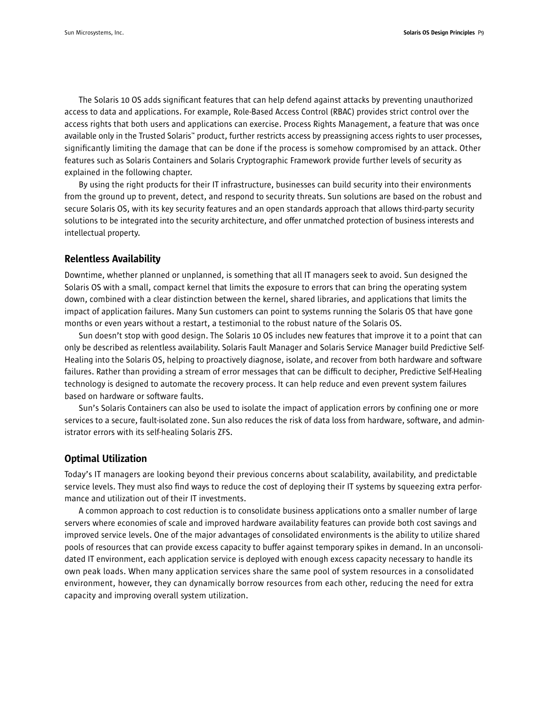The Solaris 10 OS adds significant features that can help defend against attacks by preventing unauthorized access to data and applications. For example, Role-Based Access Control (RBAC) provides strict control over the access rights that both users and applications can exercise. Process Rights Management, a feature that was once available only in the Trusted Solaris™ product, further restricts access by preassigning access rights to user processes, significantly limiting the damage that can be done if the process is somehow compromised by an attack. Other features such as Solaris Containers and Solaris Cryptographic Framework provide further levels of security as explained in the following chapter.

By using the right products for their IT infrastructure, businesses can build security into their environments from the ground up to prevent, detect, and respond to security threats. Sun solutions are based on the robust and secure Solaris OS, with its key security features and an open standards approach that allows third-party security solutions to be integrated into the security architecture, and offer unmatched protection of business interests and intellectual property.

#### Relentless Availability

Downtime, whether planned or unplanned, is something that all IT managers seek to avoid. Sun designed the Solaris OS with a small, compact kernel that limits the exposure to errors that can bring the operating system down, combined with a clear distinction between the kernel, shared libraries, and applications that limits the impact of application failures. Many Sun customers can point to systems running the Solaris OS that have gone months or even years without a restart, a testimonial to the robust nature of the Solaris OS.

Sun doesn't stop with good design. The Solaris 10 OS includes new features that improve it to a point that can only be described as relentless availability. Solaris Fault Manager and Solaris Service Manager build Predictive Self-Healing into the Solaris OS, helping to proactively diagnose, isolate, and recover from both hardware and software failures. Rather than providing a stream of error messages that can be difficult to decipher, Predictive Self-Healing technology is designed to automate the recovery process. It can help reduce and even prevent system failures based on hardware or software faults.

Sun's Solaris Containers can also be used to isolate the impact of application errors by confining one or more services to a secure, fault-isolated zone. Sun also reduces the risk of data loss from hardware, software, and administrator errors with its self-healing Solaris ZFS.

#### Optimal Utilization

Today's IT managers are looking beyond their previous concerns about scalability, availability, and predictable service levels. They must also find ways to reduce the cost of deploying their IT systems by squeezing extra performance and utilization out of their IT investments.

A common approach to cost reduction is to consolidate business applications onto a smaller number of large servers where economies of scale and improved hardware availability features can provide both cost savings and improved service levels. One of the major advantages of consolidated environments is the ability to utilize shared pools of resources that can provide excess capacity to buffer against temporary spikes in demand. In an unconsolidated IT environment, each application service is deployed with enough excess capacity necessary to handle its own peak loads. When many application services share the same pool of system resources in a consolidated environment, however, they can dynamically borrow resources from each other, reducing the need for extra capacity and improving overall system utilization.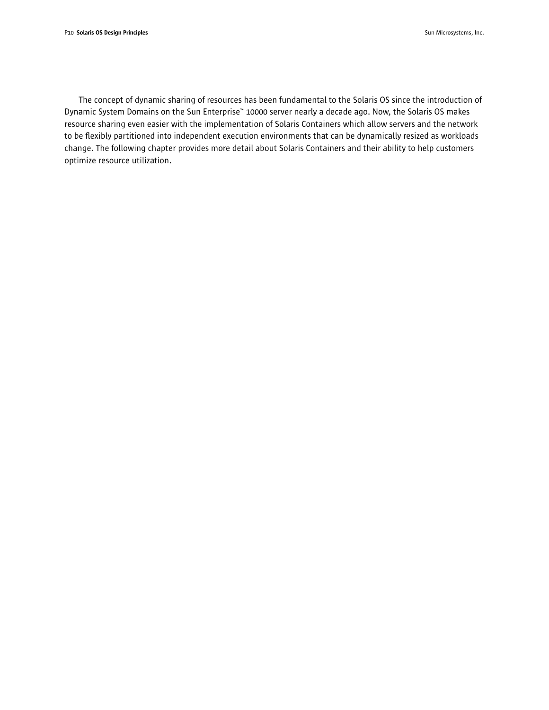The concept of dynamic sharing of resources has been fundamental to the Solaris OS since the introduction of Dynamic System Domains on the Sun Enterprise™ 10000 server nearly a decade ago. Now, the Solaris OS makes resource sharing even easier with the implementation of Solaris Containers which allow servers and the network to be flexibly partitioned into independent execution environments that can be dynamically resized as workloads change. The following chapter provides more detail about Solaris Containers and their ability to help customers optimize resource utilization.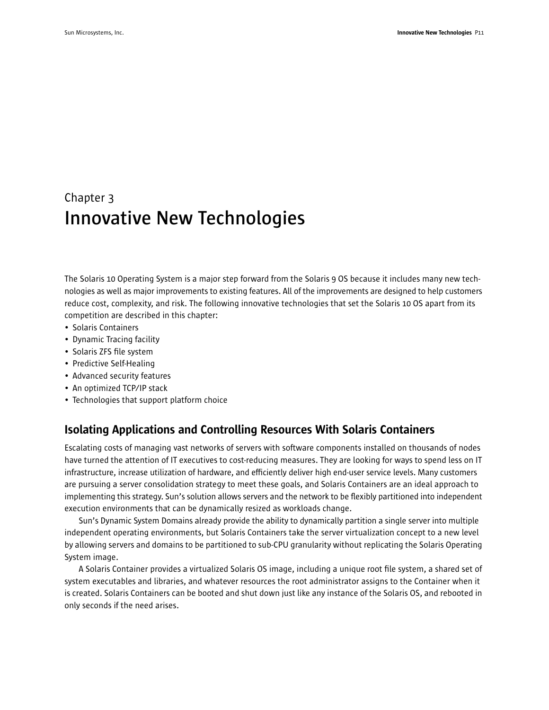## Chapter 3 **Innovative New Technologies**

The Solaris 10 Operating System is a major step forward from the Solaris 9 OS because it includes many new technologies as well as major improvements to existing features. All of the improvements are designed to help customers reduce cost, complexity, and risk. The following innovative technologies that set the Solaris 10 OS apart from its competition are described in this chapter:

- Solaris Containers
- Dynamic Tracing facility
- Solaris ZFS file system
- Predictive Self-Healing
- Advanced security features
- An optimized TCP/IP stack
- Technologies that support platform choice

## Isolating Applications and Controlling Resources With Solaris Containers

Escalating costs of managing vast networks of servers with software components installed on thousands of nodes have turned the attention of IT executives to cost-reducing measures. They are looking for ways to spend less on IT infrastructure, increase utilization of hardware, and efficiently deliver high end-user service levels. Many customers are pursuing a server consolidation strategy to meet these goals, and Solaris Containers are an ideal approach to implementing this strategy. Sun's solution allows servers and the network to be flexibly partitioned into independent execution environments that can be dynamically resized as workloads change.

Sun's Dynamic System Domains already provide the ability to dynamically partition a single server into multiple independent operating environments, but Solaris Containers take the server virtualization concept to a new level by allowing servers and domains to be partitioned to sub-CPU granularity without replicating the Solaris Operating System image.

A Solaris Container provides a virtualized Solaris OS image, including a unique root file system, a shared set of system executables and libraries, and whatever resources the root administrator assigns to the Container when it is created. Solaris Containers can be booted and shut down just like any instance of the Solaris OS, and rebooted in only seconds if the need arises.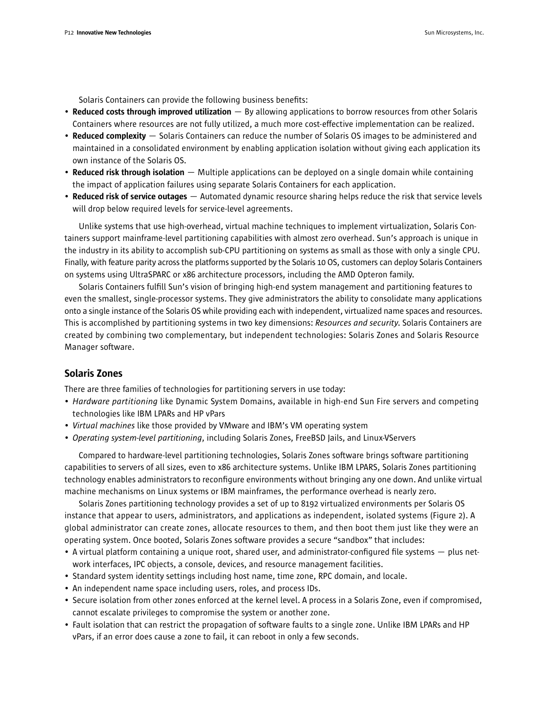Solaris Containers can provide the following business benefits:

- Reduced costs through improved utilization  $-$  By allowing applications to borrow resources from other Solaris Containers where resources are not fully utilized, a much more cost-effective implementation can be realized.
- Reduced complexity Solaris Containers can reduce the number of Solaris OS images to be administered and maintained in a consolidated environment by enabling application isolation without giving each application its own instance of the Solaris OS.
- Reduced risk through isolation Multiple applications can be deployed on a single domain while containing the impact of application failures using separate Solaris Containers for each application.
- Reduced risk of service outages  $-$  Automated dynamic resource sharing helps reduce the risk that service levels will drop below required levels for service-level agreements.

Unlike systems that use high-overhead, virtual machine techniques to implement virtualization, Solaris Containers support mainframe-level partitioning capabilities with almost zero overhead. Sun's approach is unique in the industry in its ability to accomplish sub-CPU partitioning on systems as small as those with only a single CPU. Finally, with feature parity across the platforms supported by the Solaris 10 OS, customers can deploy Solaris Containers on systems using UltraSPARC or x86 architecture processors, including the AMD Opteron family.

Solaris Containers fulfill Sun's vision of bringing high-end system management and partitioning features to even the smallest, single-processor systems. They give administrators the ability to consolidate many applications onto a single instance of the Solaris OS while providing each with independent, virtualized name spaces and resources. This is accomplished by partitioning systems in two key dimensions: *Resources and security*. Solaris Containers are created by combining two complementary, but independent technologies: Solaris Zones and Solaris Resource Manager software.

#### Solaris Zones

There are three families of technologies for partitioning servers in use today:

- *Hardware partitioning* like Dynamic System Domains, available in high-end Sun Fire servers and competing technologies like IBM LPARs and HP vPars
- *Virtual machines* like those provided by VMware and IBM's VM operating system
- *Operating system-level partitioning*, including Solaris Zones, FreeBSD Jails, and Linux-VServers

Compared to hardware-level partitioning technologies, Solaris Zones software brings software partitioning capabilities to servers of all sizes, even to x86 architecture systems. Unlike IBM LPARS, Solaris Zones partitioning technology enables administrators to reconfigure environments without bringing any one down. And unlike virtual machine mechanisms on Linux systems or IBM mainframes, the performance overhead is nearly zero.

Solaris Zones partitioning technology provides a set of up to 8192 virtualized environments per Solaris OS instance that appear to users, administrators, and applications as independent, isolated systems (Figure 2). A global administrator can create zones, allocate resources to them, and then boot them just like they were an operating system. Once booted, Solaris Zones software provides a secure "sandbox" that includes:

- A virtual platform containing a unique root, shared user, and administrator-configured file systems plus network interfaces, IPC objects, a console, devices, and resource management facilities.
- Standard system identity settings including host name, time zone, RPC domain, and locale.
- An independent name space including users, roles, and process IDs.
- Secure isolation from other zones enforced at the kernel level. A process in a Solaris Zone, even if compromised, cannot escalate privileges to compromise the system or another zone.
- Fault isolation that can restrict the propagation of software faults to a single zone. Unlike IBM LPARs and HP vPars, if an error does cause a zone to fail, it can reboot in only a few seconds.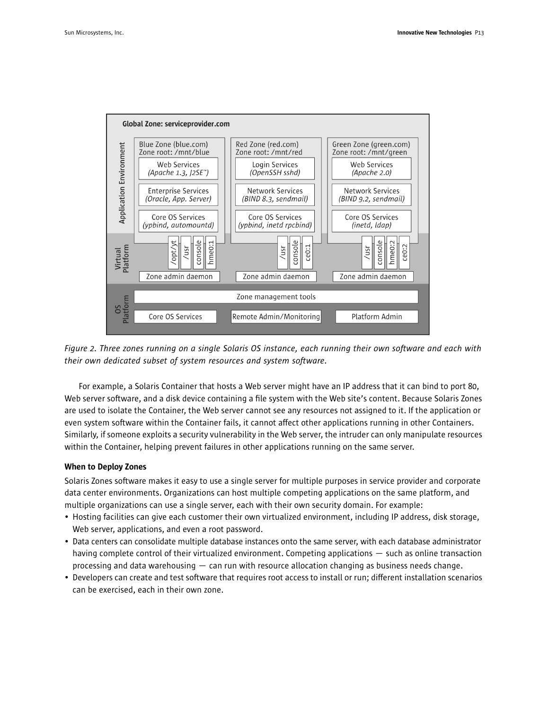

*Figure 2. Three zones running on a single Solaris OS instance, each running their own software and each with their own dedicated subset of system resources and system software.*

For example, a Solaris Container that hosts a Web server might have an IP address that it can bind to port 80, Web server software, and a disk device containing a file system with the Web site's content. Because Solaris Zones are used to isolate the Container, the Web server cannot see any resources not assigned to it. If the application or even system software within the Container fails, it cannot affect other applications running in other Containers. Similarly, if someone exploits a security vulnerability in the Web server, the intruder can only manipulate resources within the Container, helping prevent failures in other applications running on the same server.

#### When to Deploy Zones

Solaris Zones software makes it easy to use a single server for multiple purposes in service provider and corporate data center environments. Organizations can host multiple competing applications on the same platform, and multiple organizations can use a single server, each with their own security domain. For example:

- Hosting facilities can give each customer their own virtualized environment, including IP address, disk storage, Web server, applications, and even a root password.
- Data centers can consolidate multiple database instances onto the same server, with each database administrator having complete control of their virtualized environment. Competing applications — such as online transaction processing and data warehousing — can run with resource allocation changing as business needs change.
- Developers can create and test software that requires root access to install or run; different installation scenarios can be exercised, each in their own zone.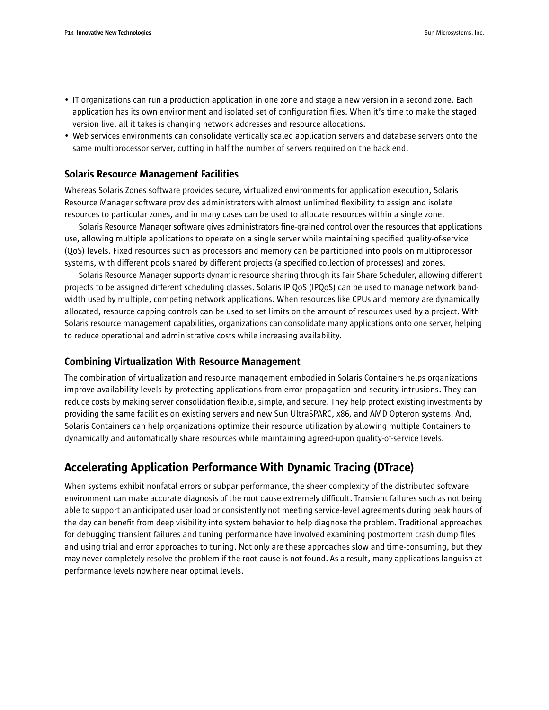- IT organizations can run a production application in one zone and stage a new version in a second zone. Each application has its own environment and isolated set of configuration files. When it's time to make the staged version live, all it takes is changing network addresses and resource allocations.
- Web services environments can consolidate vertically scaled application servers and database servers onto the same multiprocessor server, cutting in half the number of servers required on the back end.

#### Solaris Resource Management Facilities

Whereas Solaris Zones software provides secure, virtualized environments for application execution, Solaris Resource Manager software provides administrators with almost unlimited flexibility to assign and isolate resources to particular zones, and in many cases can be used to allocate resources within a single zone.

Solaris Resource Manager software gives administrators fine-grained control over the resources that applications use, allowing multiple applications to operate on a single server while maintaining specified quality-of-service (QoS) levels. Fixed resources such as processors and memory can be partitioned into pools on multiprocessor systems, with different pools shared by different projects (a specified collection of processes) and zones.

Solaris Resource Manager supports dynamic resource sharing through its Fair Share Scheduler, allowing different projects to be assigned different scheduling classes. Solaris IP QoS (IPQoS) can be used to manage network bandwidth used by multiple, competing network applications. When resources like CPUs and memory are dynamically allocated, resource capping controls can be used to set limits on the amount of resources used by a project. With Solaris resource management capabilities, organizations can consolidate many applications onto one server, helping to reduce operational and administrative costs while increasing availability.

#### Combining Virtualization With Resource Management

The combination of virtualization and resource management embodied in Solaris Containers helps organizations improve availability levels by protecting applications from error propagation and security intrusions. They can reduce costs by making server consolidation flexible, simple, and secure. They help protect existing investments by providing the same facilities on existing servers and new Sun UltraSPARC, x86, and AMD Opteron systems. And, Solaris Containers can help organizations optimize their resource utilization by allowing multiple Containers to dynamically and automatically share resources while maintaining agreed-upon quality-of-service levels.

## Accelerating Application Performance With Dynamic Tracing (DTrace)

When systems exhibit nonfatal errors or subpar performance, the sheer complexity of the distributed software environment can make accurate diagnosis of the root cause extremely difficult. Transient failures such as not being able to support an anticipated user load or consistently not meeting service-level agreements during peak hours of the day can benefit from deep visibility into system behavior to help diagnose the problem. Traditional approaches for debugging transient failures and tuning performance have involved examining postmortem crash dump files and using trial and error approaches to tuning. Not only are these approaches slow and time-consuming, but they may never completely resolve the problem if the root cause is not found. As a result, many applications languish at performance levels nowhere near optimal levels.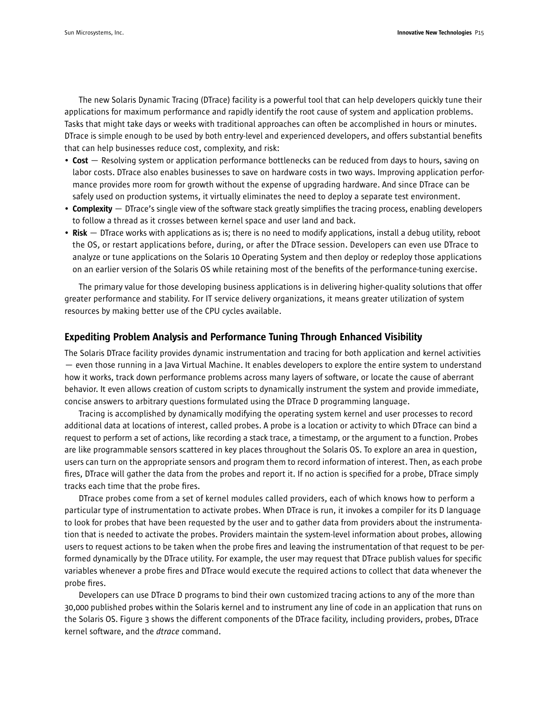The new Solaris Dynamic Tracing (DTrace) facility is a powerful tool that can help developers quickly tune their applications for maximum performance and rapidly identify the root cause of system and application problems. Tasks that might take days or weeks with traditional approaches can often be accomplished in hours or minutes. DTrace is simple enough to be used by both entry-level and experienced developers, and offers substantial benefits that can help businesses reduce cost, complexity, and risk:

- Cost Resolving system or application performance bottlenecks can be reduced from days to hours, saving on labor costs. DTrace also enables businesses to save on hardware costs in two ways. Improving application performance provides more room for growth without the expense of upgrading hardware. And since DTrace can be safely used on production systems, it virtually eliminates the need to deploy a separate test environment.
- Complexity DTrace's single view of the software stack greatly simplifies the tracing process, enabling developers to follow a thread as it crosses between kernel space and user land and back.
- Risk DTrace works with applications as is; there is no need to modify applications, install a debug utility, reboot the OS, or restart applications before, during, or after the DTrace session. Developers can even use DTrace to analyze or tune applications on the Solaris 10 Operating System and then deploy or redeploy those applications on an earlier version of the Solaris OS while retaining most of the benefits of the performance-tuning exercise.

The primary value for those developing business applications is in delivering higher-quality solutions that offer greater performance and stability. For IT service delivery organizations, it means greater utilization of system resources by making better use of the CPU cycles available.

#### Expediting Problem Analysis and Performance Tuning Through Enhanced Visibility

The Solaris DTrace facility provides dynamic instrumentation and tracing for both application and kernel activities — even those running in a Java Virtual Machine. It enables developers to explore the entire system to understand how it works, track down performance problems across many layers of software, or locate the cause of aberrant behavior. It even allows creation of custom scripts to dynamically instrument the system and provide immediate, concise answers to arbitrary questions formulated using the DTrace D programming language.

Tracing is accomplished by dynamically modifying the operating system kernel and user processes to record additional data at locations of interest, called probes. A probe is a location or activity to which DTrace can bind a request to perform a set of actions, like recording a stack trace, a timestamp, or the argument to a function. Probes are like programmable sensors scattered in key places throughout the Solaris OS. To explore an area in question, users can turn on the appropriate sensors and program them to record information of interest. Then, as each probe fires, DTrace will gather the data from the probes and report it. If no action is specified for a probe, DTrace simply tracks each time that the probe fires.

DTrace probes come from a set of kernel modules called providers, each of which knows how to perform a particular type of instrumentation to activate probes. When DTrace is run, it invokes a compiler for its D language to look for probes that have been requested by the user and to gather data from providers about the instrumentation that is needed to activate the probes. Providers maintain the system-level information about probes, allowing users to request actions to be taken when the probe fires and leaving the instrumentation of that request to be performed dynamically by the DTrace utility. For example, the user may request that DTrace publish values for specific variables whenever a probe fires and DTrace would execute the required actions to collect that data whenever the probe fires.

Developers can use DTrace D programs to bind their own customized tracing actions to any of the more than 30,000 published probes within the Solaris kernel and to instrument any line of code in an application that runs on the Solaris OS. Figure 3 shows the different components of the DTrace facility, including providers, probes, DTrace kernel software, and the *dtrace* command.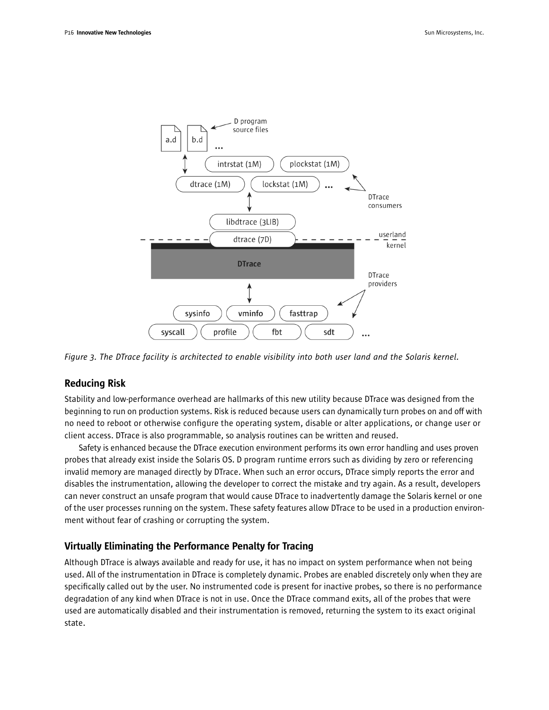

*Figure 3. The DTrace facility is architected to enable visibility into both user land and the Solaris kernel.*

### Reducing Risk

Stability and low-performance overhead are hallmarks of this new utility because DTrace was designed from the beginning to run on production systems. Risk is reduced because users can dynamically turn probes on and off with no need to reboot or otherwise configure the operating system, disable or alter applications, or change user or client access. DTrace is also programmable, so analysis routines can be written and reused.

Safety is enhanced because the DTrace execution environment performs its own error handling and uses proven probes that already exist inside the Solaris OS. D program runtime errors such as dividing by zero or referencing invalid memory are managed directly by DTrace. When such an error occurs, DTrace simply reports the error and disables the instrumentation, allowing the developer to correct the mistake and try again. As a result, developers can never construct an unsafe program that would cause DTrace to inadvertently damage the Solaris kernel or one of the user processes running on the system. These safety features allow DTrace to be used in a production environment without fear of crashing or corrupting the system.

## Virtually Eliminating the Performance Penalty for Tracing

Although DTrace is always available and ready for use, it has no impact on system performance when not being used. All of the instrumentation in DTrace is completely dynamic. Probes are enabled discretely only when they are specifically called out by the user. No instrumented code is present for inactive probes, so there is no performance degradation of any kind when DTrace is not in use. Once the DTrace command exits, all of the probes that were used are automatically disabled and their instrumentation is removed, returning the system to its exact original state.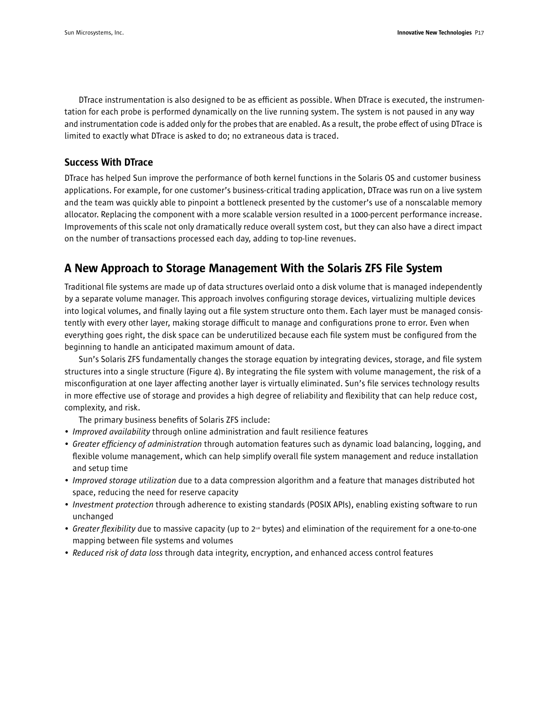DTrace instrumentation is also designed to be as efficient as possible. When DTrace is executed, the instrumentation for each probe is performed dynamically on the live running system. The system is not paused in any way and instrumentation code is added only for the probes that are enabled. As a result, the probe effect of using DTrace is limited to exactly what DTrace is asked to do; no extraneous data is traced.

### Success With DTrace

DTrace has helped Sun improve the performance of both kernel functions in the Solaris OS and customer business applications. For example, for one customer's business-critical trading application, DTrace was run on a live system and the team was quickly able to pinpoint a bottleneck presented by the customer's use of a nonscalable memory allocator. Replacing the component with a more scalable version resulted in a 1000-percent performance increase. Improvements of this scale not only dramatically reduce overall system cost, but they can also have a direct impact on the number of transactions processed each day, adding to top-line revenues.

## A New Approach to Storage Management With the Solaris ZFS File System

Traditional file systems are made up of data structures overlaid onto a disk volume that is managed independently by a separate volume manager. This approach involves configuring storage devices, virtualizing multiple devices into logical volumes, and finally laying out a file system structure onto them. Each layer must be managed consistently with every other layer, making storage difficult to manage and configurations prone to error. Even when everything goes right, the disk space can be underutilized because each file system must be configured from the beginning to handle an anticipated maximum amount of data.

Sun's Solaris ZFS fundamentally changes the storage equation by integrating devices, storage, and file system structures into a single structure (Figure 4). By integrating the file system with volume management, the risk of a misconfiguration at one layer affecting another layer is virtually eliminated. Sun's file services technology results in more effective use of storage and provides a high degree of reliability and flexibility that can help reduce cost, complexity, and risk.

The primary business benefits of Solaris ZFS include:

- *Improved availability* through online administration and fault resilience features
- *Greater efficiency of administration* through automation features such as dynamic load balancing, logging, and flexible volume management, which can help simplify overall file system management and reduce installation and setup time
- *Improved storage utilization* due to a data compression algorithm and a feature that manages distributed hot space, reducing the need for reserve capacity
- *Investment protection* through adherence to existing standards (POSIX APIs), enabling existing software to run unchanged
- *Greater flexibility* due to massive capacity (up to 2<sup>128</sup> bytes) and elimination of the requirement for a one-to-one mapping between file systems and volumes
- *Reduced risk of data loss* through data integrity, encryption, and enhanced access control features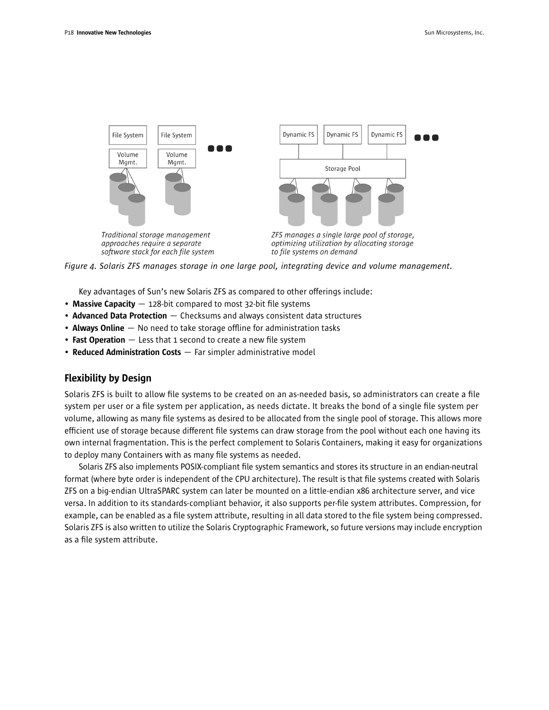



Key advantages of Sun's new Solaris ZFS as compared to other offerings include:

- Massive Capacity  $-$  128-bit compared to most 32-bit file systems
- Advanced Data Protection Checksums and always consistent data structures
- Always Online  $-$  No need to take storage offline for administration tasks
- Fast Operation Less that 1 second to create a new file system
- Reduced Administration Costs Far simpler administrative model

#### Flexibility by Design

Solaris ZFS is built to allow file systems to be created on an as-needed basis, so administrators can create a file system per user or a file system per application, as needs dictate. It breaks the bond of a single file system per volume, allowing as many file systems as desired to be allocated from the single pool of storage. This allows more efficient use of storage because different file systems can draw storage from the pool without each one having its own internal fragmentation. This is the perfect complement to Solaris Containers, making it easy for organizations to deploy many Containers with as many file systems as needed.

Solaris ZFS also implements POSIX-compliant file system semantics and stores its structure in an endian-neutral format (where byte order is independent of the CPU architecture). The result is that file systems created with Solaris ZFS on a big-endian UltraSPARC system can later be mounted on a little-endian x86 architecture server, and vice versa. In addition to its standards-compliant behavior, it also supports per-file system attributes. Compression, for example, can be enabled as a file system attribute, resulting in all data stored to the file system being compressed. Solaris ZFS is also written to utilize the Solaris Cryptographic Framework, so future versions may include encryption as a file system attribute.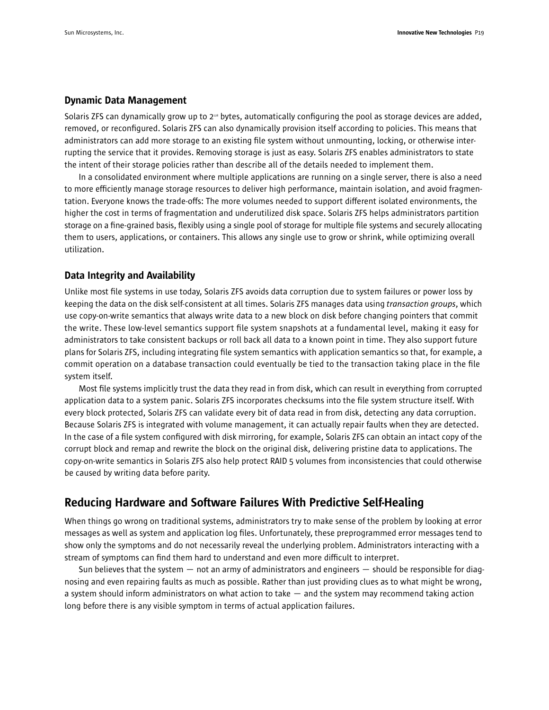#### Dynamic Data Management

Solaris ZFS can dynamically grow up to  $2<sup>12</sup>$  bytes, automatically configuring the pool as storage devices are added, removed, or reconfigured. Solaris ZFS can also dynamically provision itself according to policies. This means that administrators can add more storage to an existing file system without unmounting, locking, or otherwise interrupting the service that it provides. Removing storage is just as easy. Solaris ZFS enables administrators to state the intent of their storage policies rather than describe all of the details needed to implement them.

In a consolidated environment where multiple applications are running on a single server, there is also a need to more efficiently manage storage resources to deliver high performance, maintain isolation, and avoid fragmentation. Everyone knows the trade-offs: The more volumes needed to support different isolated environments, the higher the cost in terms of fragmentation and underutilized disk space. Solaris ZFS helps administrators partition storage on a fine-grained basis, flexibly using a single pool of storage for multiple file systems and securely allocating them to users, applications, or containers. This allows any single use to grow or shrink, while optimizing overall utilization.

#### Data Integrity and Availability

Unlike most file systems in use today, Solaris ZFS avoids data corruption due to system failures or power loss by keeping the data on the disk self-consistent at all times. Solaris ZFS manages data using *transaction groups*, which use copy-on-write semantics that always write data to a new block on disk before changing pointers that commit the write. These low-level semantics support file system snapshots at a fundamental level, making it easy for administrators to take consistent backups or roll back all data to a known point in time. They also support future plans for Solaris ZFS, including integrating file system semantics with application semantics so that, for example, a commit operation on a database transaction could eventually be tied to the transaction taking place in the file system itself.

Most file systems implicitly trust the data they read in from disk, which can result in everything from corrupted application data to a system panic. Solaris ZFS incorporates checksums into the file system structure itself. With every block protected, Solaris ZFS can validate every bit of data read in from disk, detecting any data corruption. Because Solaris ZFS is integrated with volume management, it can actually repair faults when they are detected. In the case of a file system configured with disk mirroring, for example, Solaris ZFS can obtain an intact copy of the corrupt block and remap and rewrite the block on the original disk, delivering pristine data to applications. The copy-on-write semantics in Solaris ZFS also help protect RAID 5 volumes from inconsistencies that could otherwise be caused by writing data before parity.

## Reducing Hardware and Software Failures With Predictive Self-Healing

When things go wrong on traditional systems, administrators try to make sense of the problem by looking at error messages as well as system and application log files. Unfortunately, these preprogrammed error messages tend to show only the symptoms and do not necessarily reveal the underlying problem. Administrators interacting with a stream of symptoms can find them hard to understand and even more difficult to interpret.

Sun believes that the system — not an army of administrators and engineers — should be responsible for diagnosing and even repairing faults as much as possible. Rather than just providing clues as to what might be wrong, a system should inform administrators on what action to take — and the system may recommend taking action long before there is any visible symptom in terms of actual application failures.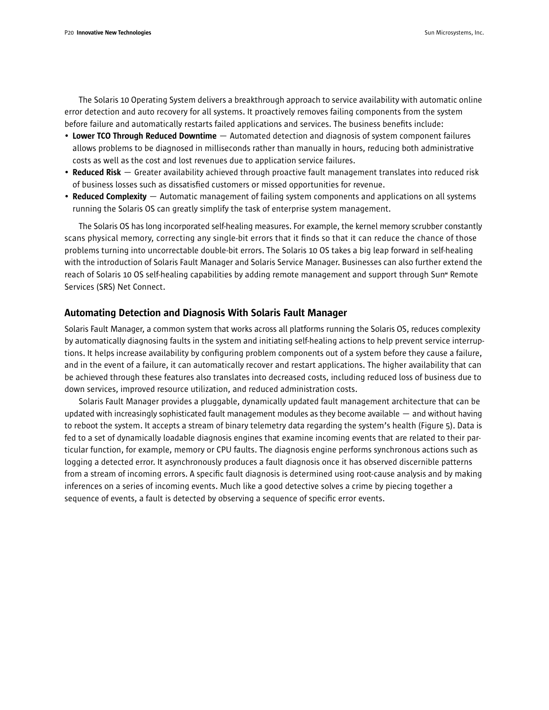The Solaris 10 Operating System delivers a breakthrough approach to service availability with automatic online error detection and auto recovery for all systems. It proactively removes failing components from the system before failure and automatically restarts failed applications and services. The business benefits include:

- Lower TCO Through Reduced Downtime  $-$  Automated detection and diagnosis of system component failures allows problems to be diagnosed in milliseconds rather than manually in hours, reducing both administrative costs as well as the cost and lost revenues due to application service failures.
- Reduced Risk Greater availability achieved through proactive fault management translates into reduced risk of business losses such as dissatisfied customers or missed opportunities for revenue.
- Reduced Complexity  $-$  Automatic management of failing system components and applications on all systems running the Solaris OS can greatly simplify the task of enterprise system management.

The Solaris OS has long incorporated self-healing measures. For example, the kernel memory scrubber constantly scans physical memory, correcting any single-bit errors that it finds so that it can reduce the chance of those problems turning into uncorrectable double-bit errors. The Solaris 10 OS takes a big leap forward in self-healing with the introduction of Solaris Fault Manager and Solaris Service Manager. Businesses can also further extend the reach of Solaris 10 OS self-healing capabilities by adding remote management and support through Sun<sup>®</sup> Remote Services (SRS) Net Connect.

#### Automating Detection and Diagnosis With Solaris Fault Manager

Solaris Fault Manager, a common system that works across all platforms running the Solaris OS, reduces complexity by automatically diagnosing faults in the system and initiating self-healing actions to help prevent service interruptions. It helps increase availability by configuring problem components out of a system before they cause a failure, and in the event of a failure, it can automatically recover and restart applications. The higher availability that can be achieved through these features also translates into decreased costs, including reduced loss of business due to down services, improved resource utilization, and reduced administration costs.

Solaris Fault Manager provides a pluggable, dynamically updated fault management architecture that can be updated with increasingly sophisticated fault management modules as they become available — and without having to reboot the system. It accepts a stream of binary telemetry data regarding the system's health (Figure 5). Data is fed to a set of dynamically loadable diagnosis engines that examine incoming events that are related to their particular function, for example, memory or CPU faults. The diagnosis engine performs synchronous actions such as logging a detected error. It asynchronously produces a fault diagnosis once it has observed discernible patterns from a stream of incoming errors. A specific fault diagnosis is determined using root-cause analysis and by making inferences on a series of incoming events. Much like a good detective solves a crime by piecing together a sequence of events, a fault is detected by observing a sequence of specific error events.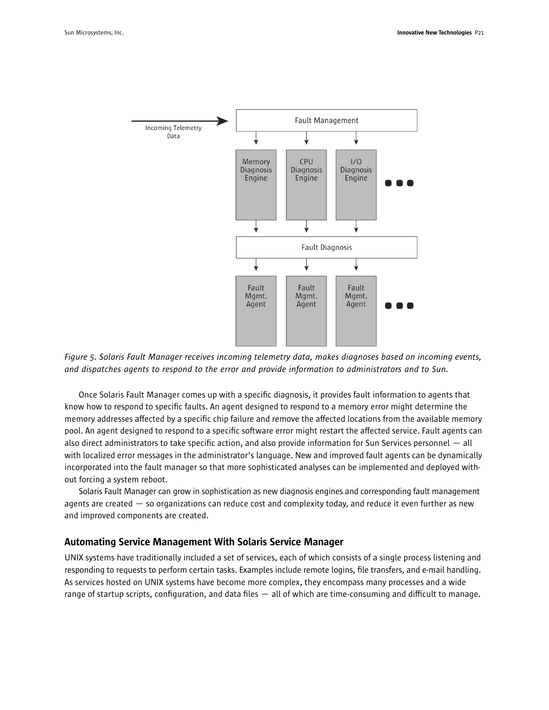

*Figure 5. Solaris Fault Manager receives incoming telemetry data, makes diagnoses based on incoming events, and dispatches agents to respond to the error and provide information to administrators and to Sun.*

Once Solaris Fault Manager comes up with a specific diagnosis, it provides fault information to agents that know how to respond to specific faults. An agent designed to respond to a memory error might determine the memory addresses affected by a specific chip failure and remove the affected locations from the available memory pool. An agent designed to respond to a specific software error might restart the affected service. Fault agents can also direct administrators to take specific action, and also provide information for Sun Services personnel — all with localized error messages in the administrator's language. New and improved fault agents can be dynamically incorporated into the fault manager so that more sophisticated analyses can be implemented and deployed without forcing a system reboot.

Solaris Fault Manager can grow in sophistication as new diagnosis engines and corresponding fault management agents are created — so organizations can reduce cost and complexity today, and reduce it even further as new and improved components are created.

#### Automating Service Management With Solaris Service Manager

UNIX systems have traditionally included a set of services, each of which consists of a single process listening and responding to requests to perform certain tasks. Examples include remote logins, file transfers, and e-mail handling. As services hosted on UNIX systems have become more complex, they encompass many processes and a wide range of startup scripts, configuration, and data files — all of which are time-consuming and difficult to manage.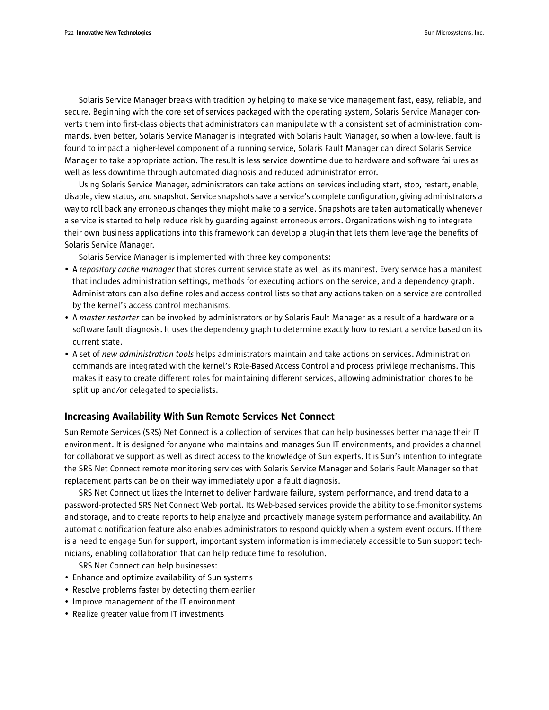Solaris Service Manager breaks with tradition by helping to make service management fast, easy, reliable, and secure. Beginning with the core set of services packaged with the operating system, Solaris Service Manager converts them into first-class objects that administrators can manipulate with a consistent set of administration commands. Even better, Solaris Service Manager is integrated with Solaris Fault Manager, so when a low-level fault is found to impact a higher-level component of a running service, Solaris Fault Manager can direct Solaris Service Manager to take appropriate action. The result is less service downtime due to hardware and software failures as well as less downtime through automated diagnosis and reduced administrator error.

Using Solaris Service Manager, administrators can take actions on services including start, stop, restart, enable, disable, view status, and snapshot. Service snapshots save a service's complete configuration, giving administrators a way to roll back any erroneous changes they might make to a service. Snapshots are taken automatically whenever a service is started to help reduce risk by guarding against erroneous errors. Organizations wishing to integrate their own business applications into this framework can develop a plug-in that lets them leverage the benefits of Solaris Service Manager.

Solaris Service Manager is implemented with three key components:

- A r*epository cache manager* that stores current service state as well as its manifest. Every service has a manifest that includes administration settings, methods for executing actions on the service, and a dependency graph. Administrators can also define roles and access control lists so that any actions taken on a service are controlled by the kernel's access control mechanisms.
- A *master restarter* can be invoked by administrators or by Solaris Fault Manager as a result of a hardware or a software fault diagnosis. It uses the dependency graph to determine exactly how to restart a service based on its current state.
- A set of *new administration tools* helps administrators maintain and take actions on services. Administration commands are integrated with the kernel's Role-Based Access Control and process privilege mechanisms. This makes it easy to create different roles for maintaining different services, allowing administration chores to be split up and/or delegated to specialists.

#### Increasing Availability With Sun Remote Services Net Connect

Sun Remote Services (SRS) Net Connect is a collection of services that can help businesses better manage their IT environment. It is designed for anyone who maintains and manages Sun IT environments, and provides a channel for collaborative support as well as direct access to the knowledge of Sun experts. It is Sun's intention to integrate the SRS Net Connect remote monitoring services with Solaris Service Manager and Solaris Fault Manager so that replacement parts can be on their way immediately upon a fault diagnosis.

SRS Net Connect utilizes the Internet to deliver hardware failure, system performance, and trend data to a password-protected SRS Net Connect Web portal. Its Web-based services provide the ability to self-monitor systems and storage, and to create reports to help analyze and proactively manage system performance and availability. An automatic notification feature also enables administrators to respond quickly when a system event occurs. If there is a need to engage Sun for support, important system information is immediately accessible to Sun support technicians, enabling collaboration that can help reduce time to resolution.

SRS Net Connect can help businesses:

- Enhance and optimize availability of Sun systems
- Resolve problems faster by detecting them earlier
- Improve management of the IT environment
- Realize greater value from IT investments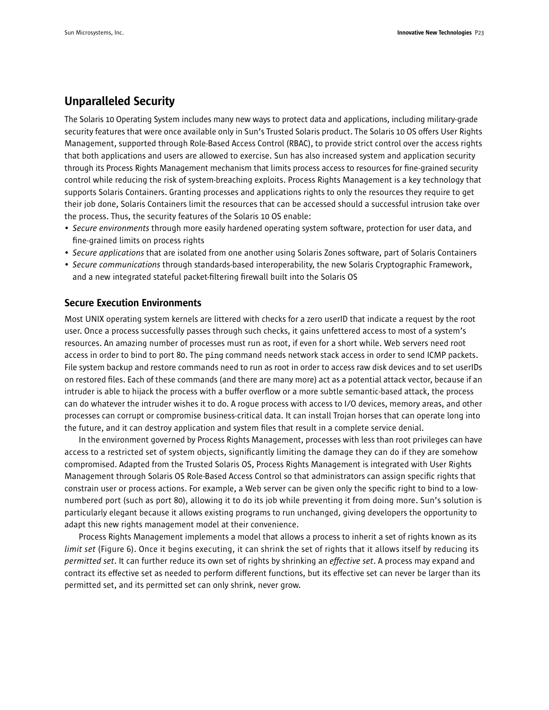## Unparalleled Security

The Solaris 10 Operating System includes many new ways to protect data and applications, including military-grade security features that were once available only in Sun's Trusted Solaris product. The Solaris 10 OS offers User Rights Management, supported through Role-Based Access Control (RBAC), to provide strict control over the access rights that both applications and users are allowed to exercise. Sun has also increased system and application security through its Process Rights Management mechanism that limits process access to resources for fine-grained security control while reducing the risk of system-breaching exploits. Process Rights Management is a key technology that supports Solaris Containers. Granting processes and applications rights to only the resources they require to get their job done, Solaris Containers limit the resources that can be accessed should a successful intrusion take over the process. Thus, the security features of the Solaris 10 OS enable:

- *Secure environments* through more easily hardened operating system software, protection for user data, and fine-grained limits on process rights
- *Secure applications* that are isolated from one another using Solaris Zones software, part of Solaris Containers
- *Secure communications* through standards-based interoperability, the new Solaris Cryptographic Framework, and a new integrated stateful packet-filtering firewall built into the Solaris OS

#### Secure Execution Environments

Most UNIX operating system kernels are littered with checks for a zero userID that indicate a request by the root user. Once a process successfully passes through such checks, it gains unfettered access to most of a system's resources. An amazing number of processes must run as root, if even for a short while. Web servers need root access in order to bind to port 80. The ping command needs network stack access in order to send ICMP packets. File system backup and restore commands need to run as root in order to access raw disk devices and to set userIDs on restored files. Each of these commands (and there are many more) act as a potential attack vector, because if an intruder is able to hijack the process with a buffer overflow or a more subtle semantic-based attack, the process can do whatever the intruder wishes it to do. A rogue process with access to I/O devices, memory areas, and other processes can corrupt or compromise business-critical data. It can install Trojan horses that can operate long into the future, and it can destroy application and system files that result in a complete service denial.

In the environment governed by Process Rights Management, processes with less than root privileges can have access to a restricted set of system objects, significantly limiting the damage they can do if they are somehow compromised. Adapted from the Trusted Solaris OS, Process Rights Management is integrated with User Rights Management through Solaris OS Role-Based Access Control so that administrators can assign specific rights that constrain user or process actions. For example, a Web server can be given only the specific right to bind to a lownumbered port (such as port 80), allowing it to do its job while preventing it from doing more. Sun's solution is particularly elegant because it allows existing programs to run unchanged, giving developers the opportunity to adapt this new rights management model at their convenience.

Process Rights Management implements a model that allows a process to inherit a set of rights known as its *limit set* (Figure 6). Once it begins executing, it can shrink the set of rights that it allows itself by reducing its *permitted set*. It can further reduce its own set of rights by shrinking an *effective set*. A process may expand and contract its effective set as needed to perform different functions, but its effective set can never be larger than its permitted set, and its permitted set can only shrink, never grow.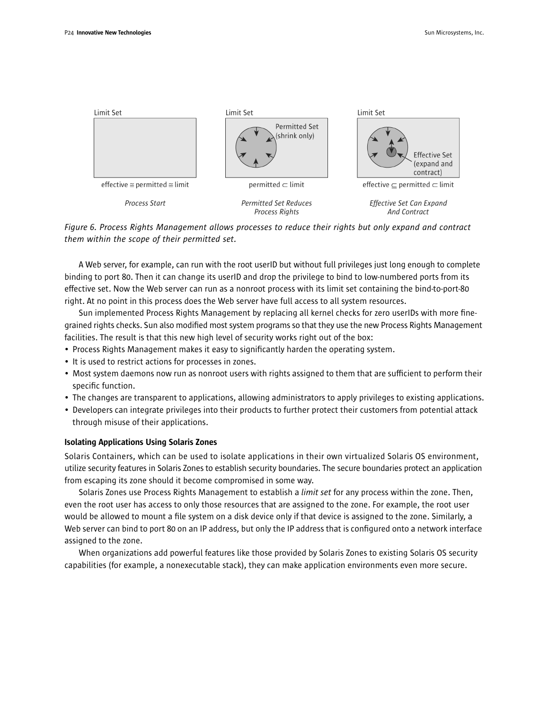

*Figure 6. Process Rights Management allows processes to reduce their rights but only expand and contract them within the scope of their permitted set.*

A Web server, for example, can run with the root userID but without full privileges just long enough to complete binding to port 80. Then it can change its userID and drop the privilege to bind to low-numbered ports from its effective set. Now the Web server can run as a nonroot process with its limit set containing the bind-to-port-80 right. At no point in this process does the Web server have full access to all system resources.

Sun implemented Process Rights Management by replacing all kernel checks for zero userIDs with more finegrained rights checks. Sun also modified most system programs so that they use the new Process Rights Management facilities. The result is that this new high level of security works right out of the box:

- Process Rights Management makes it easy to significantly harden the operating system.
- It is used to restrict actions for processes in zones.
- Most system daemons now run as nonroot users with rights assigned to them that are sufficient to perform their specific function.
- The changes are transparent to applications, allowing administrators to apply privileges to existing applications.
- Developers can integrate privileges into their products to further protect their customers from potential attack through misuse of their applications.

#### Isolating Applications Using Solaris Zones

Solaris Containers, which can be used to isolate applications in their own virtualized Solaris OS environment, utilize security features in Solaris Zones to establish security boundaries. The secure boundaries protect an application from escaping its zone should it become compromised in some way.

Solaris Zones use Process Rights Management to establish a *limit set* for any process within the zone. Then, even the root user has access to only those resources that are assigned to the zone. For example, the root user would be allowed to mount a file system on a disk device only if that device is assigned to the zone. Similarly, a Web server can bind to port 80 on an IP address, but only the IP address that is configured onto a network interface assigned to the zone.

When organizations add powerful features like those provided by Solaris Zones to existing Solaris OS security capabilities (for example, a nonexecutable stack), they can make application environments even more secure.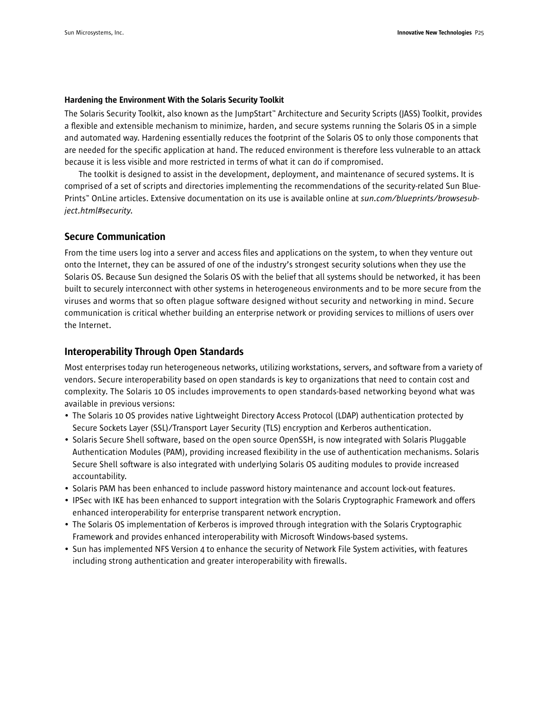#### Hardening the Environment With the Solaris Security Toolkit

The Solaris Security Toolkit, also known as the JumpStart™ Architecture and Security Scripts (JASS) Toolkit, provides a flexible and extensible mechanism to minimize, harden, and secure systems running the Solaris OS in a simple and automated way. Hardening essentially reduces the footprint of the Solaris OS to only those components that are needed for the specific application at hand. The reduced environment is therefore less vulnerable to an attack because it is less visible and more restricted in terms of what it can do if compromised.

The toolkit is designed to assist in the development, deployment, and maintenance of secured systems. It is comprised of a set of scripts and directories implementing the recommendations of the security-related Sun Blue-Prints™ OnLine articles. Extensive documentation on its use is available online at *sun.com/blueprints/browsesubject.html#security*.

#### Secure Communication

From the time users log into a server and access files and applications on the system, to when they venture out onto the Internet, they can be assured of one of the industry's strongest security solutions when they use the Solaris OS. Because Sun designed the Solaris OS with the belief that all systems should be networked, it has been built to securely interconnect with other systems in heterogeneous environments and to be more secure from the viruses and worms that so often plague software designed without security and networking in mind. Secure communication is critical whether building an enterprise network or providing services to millions of users over the Internet.

#### Interoperability Through Open Standards

Most enterprises today run heterogeneous networks, utilizing workstations, servers, and software from a variety of vendors. Secure interoperability based on open standards is key to organizations that need to contain cost and complexity. The Solaris 10 OS includes improvements to open standards-based networking beyond what was available in previous versions:

- The Solaris 10 OS provides native Lightweight Directory Access Protocol (LDAP) authentication protected by Secure Sockets Layer (SSL)/Transport Layer Security (TLS) encryption and Kerberos authentication.
- Solaris Secure Shell software, based on the open source OpenSSH, is now integrated with Solaris Pluggable Authentication Modules (PAM), providing increased flexibility in the use of authentication mechanisms. Solaris Secure Shell software is also integrated with underlying Solaris OS auditing modules to provide increased accountability.
- Solaris PAM has been enhanced to include password history maintenance and account lock-out features.
- IPSec with IKE has been enhanced to support integration with the Solaris Cryptographic Framework and offers enhanced interoperability for enterprise transparent network encryption.
- The Solaris OS implementation of Kerberos is improved through integration with the Solaris Cryptographic Framework and provides enhanced interoperability with Microsoft Windows-based systems.
- Sun has implemented NFS Version 4 to enhance the security of Network File System activities, with features including strong authentication and greater interoperability with firewalls.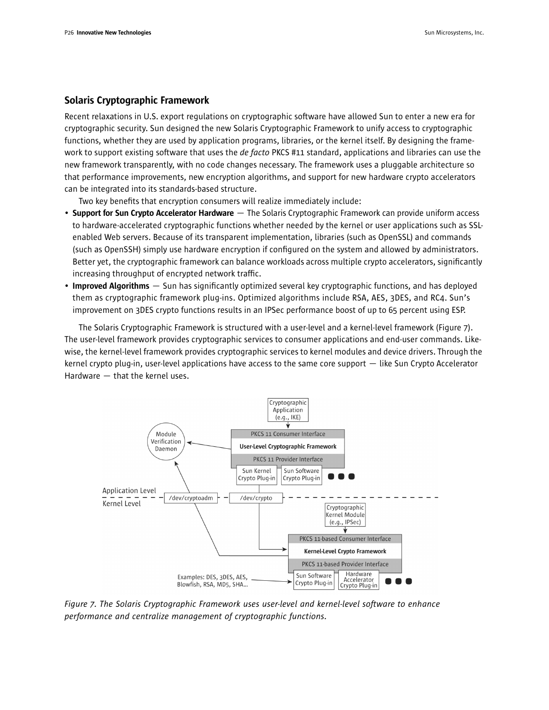#### Solaris Cryptographic Framework

Recent relaxations in U.S. export regulations on cryptographic software have allowed Sun to enter a new era for cryptographic security. Sun designed the new Solaris Cryptographic Framework to unify access to cryptographic functions, whether they are used by application programs, libraries, or the kernel itself. By designing the framework to support existing software that uses the *de facto* PKCS #11 standard, applications and libraries can use the new framework transparently, with no code changes necessary. The framework uses a pluggable architecture so that performance improvements, new encryption algorithms, and support for new hardware crypto accelerators can be integrated into its standards-based structure.

Two key benefits that encryption consumers will realize immediately include:

- Support for Sun Crypto Accelerator Hardware The Solaris Cryptographic Framework can provide uniform access to hardware-accelerated cryptographic functions whether needed by the kernel or user applications such as SSLenabled Web servers. Because of its transparent implementation, libraries (such as OpenSSL) and commands (such as OpenSSH) simply use hardware encryption if configured on the system and allowed by administrators. Better yet, the cryptographic framework can balance workloads across multiple crypto accelerators, significantly increasing throughput of encrypted network traffic.
- Improved Algorithms  $-$  Sun has significantly optimized several key cryptographic functions, and has deployed them as cryptographic framework plug-ins. Optimized algorithms include RSA, AES, 3DES, and RC4. Sun's improvement on 3DES crypto functions results in an IPSec performance boost of up to 65 percent using ESP.

The Solaris Cryptographic Framework is structured with a user-level and a kernel-level framework (Figure 7). The user-level framework provides cryptographic services to consumer applications and end-user commands. Likewise, the kernel-level framework provides cryptographic services to kernel modules and device drivers. Through the kernel crypto plug-in, user-level applications have access to the same core support — like Sun Crypto Accelerator Hardware — that the kernel uses.



*Figure 7. The Solaris Cryptographic Framework uses user-level and kernel-level software to enhance performance and centralize management of cryptographic functions.*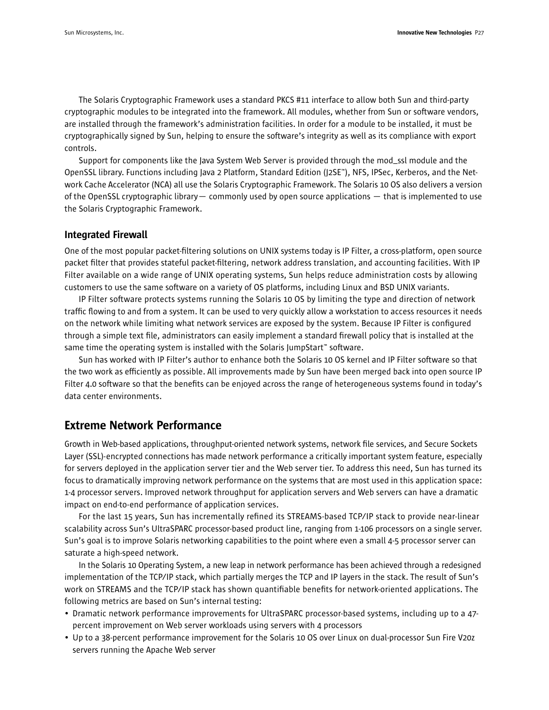The Solaris Cryptographic Framework uses a standard PKCS #11 interface to allow both Sun and third-party cryptographic modules to be integrated into the framework. All modules, whether from Sun or software vendors, are installed through the framework's administration facilities. In order for a module to be installed, it must be cryptographically signed by Sun, helping to ensure the software's integrity as well as its compliance with export controls.

Support for components like the Java System Web Server is provided through the mod\_ssl module and the OpenSSL library. Functions including Java 2 Platform, Standard Edition (J2SE™), NFS, IPSec, Kerberos, and the Network Cache Accelerator (NCA) all use the Solaris Cryptographic Framework. The Solaris 10 OS also delivers a version of the OpenSSL cryptographic library— commonly used by open source applications — that is implemented to use the Solaris Cryptographic Framework.

#### Integrated Firewall

One of the most popular packet-filtering solutions on UNIX systems today is IP Filter, a cross-platform, open source packet filter that provides stateful packet-filtering, network address translation, and accounting facilities. With IP Filter available on a wide range of UNIX operating systems, Sun helps reduce administration costs by allowing customers to use the same software on a variety of OS platforms, including Linux and BSD UNIX variants.

IP Filter software protects systems running the Solaris 10 OS by limiting the type and direction of network traffic flowing to and from a system. It can be used to very quickly allow a workstation to access resources it needs on the network while limiting what network services are exposed by the system. Because IP Filter is configured through a simple text file, administrators can easily implement a standard firewall policy that is installed at the same time the operating system is installed with the Solaris JumpStart™ software.

Sun has worked with IP Filter's author to enhance both the Solaris 10 OS kernel and IP Filter software so that the two work as efficiently as possible. All improvements made by Sun have been merged back into open source IP Filter 4.0 software so that the benefits can be enjoyed across the range of heterogeneous systems found in today's data center environments.

## Extreme Network Performance

Growth in Web-based applications, throughput-oriented network systems, network file services, and Secure Sockets Layer (SSL)-encrypted connections has made network performance a critically important system feature, especially for servers deployed in the application server tier and the Web server tier. To address this need, Sun has turned its focus to dramatically improving network performance on the systems that are most used in this application space: 1-4 processor servers. Improved network throughput for application servers and Web servers can have a dramatic impact on end-to-end performance of application services.

For the last 15 years, Sun has incrementally refined its STREAMS-based TCP/IP stack to provide near-linear scalability across Sun's UltraSPARC processor-based product line, ranging from 1-106 processors on a single server. Sun's goal is to improve Solaris networking capabilities to the point where even a small 4-5 processor server can saturate a high-speed network.

In the Solaris 10 Operating System, a new leap in network performance has been achieved through a redesigned implementation of the TCP/IP stack, which partially merges the TCP and IP layers in the stack. The result of Sun's work on STREAMS and the TCP/IP stack has shown quantifiable benefits for network-oriented applications. The following metrics are based on Sun's internal testing:

- Dramatic network performance improvements for UltraSPARC processor-based systems, including up to a 47 percent improvement on Web server workloads using servers with 4 processors
- Up to a 38-percent performance improvement for the Solaris 10 OS over Linux on dual-processor Sun Fire V20z servers running the Apache Web server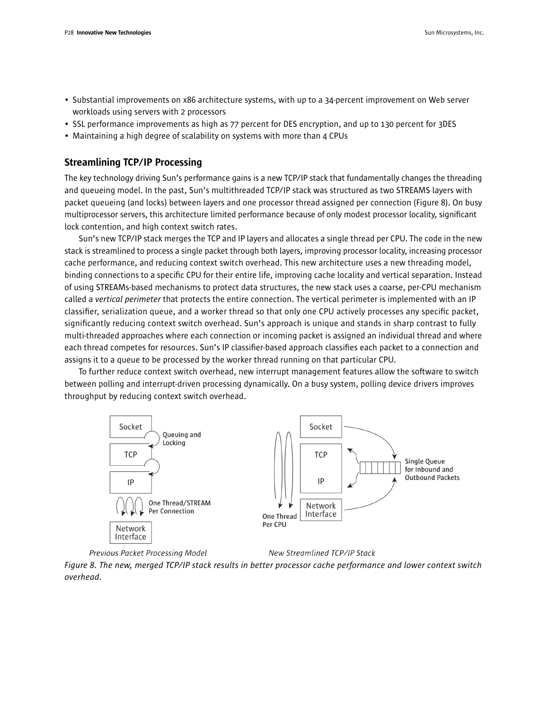- Substantial improvements on x86 architecture systems, with up to a 34-percent improvement on Web server workloads using servers with 2 processors
- SSL performance improvements as high as 77 percent for DES encryption, and up to 130 percent for 3DES
- Maintaining a high degree of scalability on systems with more than 4 CPUs

### Streamlining TCP/IP Processing

The key technology driving Sun's performance gains is a new TCP/IP stack that fundamentally changes the threading and queueing model. In the past, Sun's multithreaded TCP/IP stack was structured as two STREAMS layers with packet queueing (and locks) between layers and one processor thread assigned per connection (Figure 8). On busy multiprocessor servers, this architecture limited performance because of only modest processor locality, significant lock contention, and high context switch rates.

Sun's new TCP/IP stack merges the TCP and IP layers and allocates a single thread per CPU. The code in the new stack is streamlined to process a single packet through both layers, improving processor locality, increasing processor cache performance, and reducing context switch overhead. This new architecture uses a new threading model, binding connections to a specific CPU for their entire life, improving cache locality and vertical separation. Instead of using STREAMs-based mechanisms to protect data structures, the new stack uses a coarse, per-CPU mechanism called a *vertical perimeter* that protects the entire connection. The vertical perimeter is implemented with an IP classifier, serialization queue, and a worker thread so that only one CPU actively processes any specific packet, significantly reducing context switch overhead. Sun's approach is unique and stands in sharp contrast to fully multi-threaded approaches where each connection or incoming packet is assigned an individual thread and where each thread competes for resources. Sun's IP classifier-based approach classifies each packet to a connection and assigns it to a queue to be processed by the worker thread running on that particular CPU.

To further reduce context switch overhead, new interrupt management features allow the software to switch between polling and interrupt-driven processing dynamically. On a busy system, polling device drivers improves throughput by reducing context switch overhead.





New Streamlined TCP/IP Stack

*Figure 8. The new, merged TCP/IP stack results in better processor cache performance and lower context switch overhead.*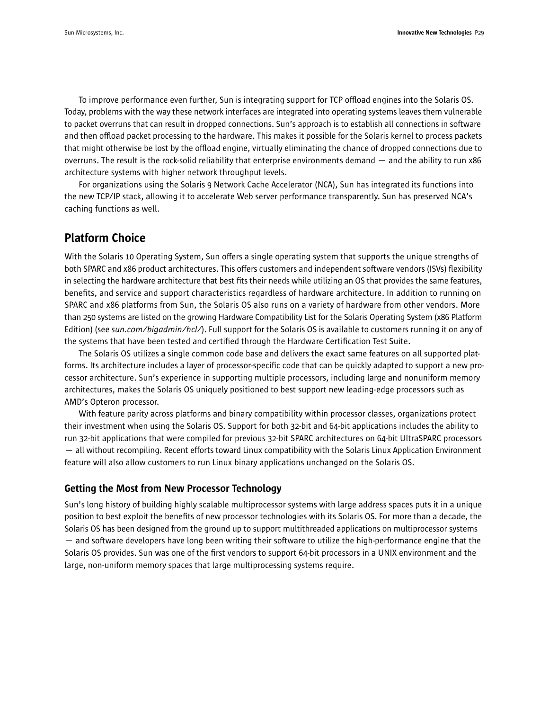To improve performance even further, Sun is integrating support for TCP offload engines into the Solaris OS. Today, problems with the way these network interfaces are integrated into operating systems leaves them vulnerable to packet overruns that can result in dropped connections. Sun's approach is to establish all connections in software and then offload packet processing to the hardware. This makes it possible for the Solaris kernel to process packets that might otherwise be lost by the offload engine, virtually eliminating the chance of dropped connections due to overruns. The result is the rock-solid reliability that enterprise environments demand — and the ability to run x86 architecture systems with higher network throughput levels.

For organizations using the Solaris 9 Network Cache Accelerator (NCA), Sun has integrated its functions into the new TCP/IP stack, allowing it to accelerate Web server performance transparently. Sun has preserved NCA's caching functions as well.

## Platform Choice

With the Solaris 10 Operating System, Sun offers a single operating system that supports the unique strengths of both SPARC and x86 product architectures. This offers customers and independent software vendors (ISVs) flexibility in selecting the hardware architecture that best fits their needs while utilizing an OS that provides the same features, benefits, and service and support characteristics regardless of hardware architecture. In addition to running on SPARC and x86 platforms from Sun, the Solaris OS also runs on a variety of hardware from other vendors. More than 250 systems are listed on the growing Hardware Compatibility List for the Solaris Operating System (x86 Platform Edition) (see *sun.com/bigadmin/hcl/*). Full support for the Solaris OS is available to customers running it on any of the systems that have been tested and certified through the Hardware Certification Test Suite.

The Solaris OS utilizes a single common code base and delivers the exact same features on all supported platforms. Its architecture includes a layer of processor-specific code that can be quickly adapted to support a new processor architecture. Sun's experience in supporting multiple processors, including large and nonuniform memory architectures, makes the Solaris OS uniquely positioned to best support new leading-edge processors such as AMD's Opteron processor.

With feature parity across platforms and binary compatibility within processor classes, organizations protect their investment when using the Solaris OS. Support for both 32-bit and 64-bit applications includes the ability to run 32-bit applications that were compiled for previous 32-bit SPARC architectures on 64-bit UltraSPARC processors — all without recompiling. Recent efforts toward Linux compatibility with the Solaris Linux Application Environment feature will also allow customers to run Linux binary applications unchanged on the Solaris OS.

#### Getting the Most from New Processor Technology

Sun's long history of building highly scalable multiprocessor systems with large address spaces puts it in a unique position to best exploit the benefits of new processor technologies with its Solaris OS. For more than a decade, the Solaris OS has been designed from the ground up to support multithreaded applications on multiprocessor systems — and software developers have long been writing their software to utilize the high-performance engine that the Solaris OS provides. Sun was one of the first vendors to support 64-bit processors in a UNIX environment and the large, non-uniform memory spaces that large multiprocessing systems require.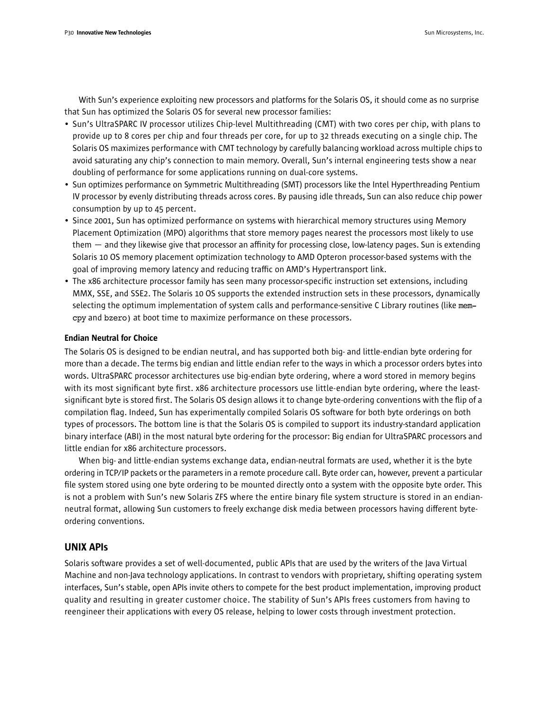With Sun's experience exploiting new processors and platforms for the Solaris OS, it should come as no surprise that Sun has optimized the Solaris OS for several new processor families:

- Sun's UltraSPARC IV processor utilizes Chip-level Multithreading (CMT) with two cores per chip, with plans to provide up to 8 cores per chip and four threads per core, for up to 32 threads executing on a single chip. The Solaris OS maximizes performance with CMT technology by carefully balancing workload across multiple chips to avoid saturating any chip's connection to main memory. Overall, Sun's internal engineering tests show a near doubling of performance for some applications running on dual-core systems.
- Sun optimizes performance on Symmetric Multithreading (SMT) processors like the Intel Hyperthreading Pentium IV processor by evenly distributing threads across cores. By pausing idle threads, Sun can also reduce chip power consumption by up to 45 percent.
- Since 2001, Sun has optimized performance on systems with hierarchical memory structures using Memory Placement Optimization (MPO) algorithms that store memory pages nearest the processors most likely to use them — and they likewise give that processor an affinity for processing close, low-latency pages. Sun is extending Solaris 10 OS memory placement optimization technology to AMD Opteron processor-based systems with the goal of improving memory latency and reducing traffic on AMD's Hypertransport link.
- The x86 architecture processor family has seen many processor-specific instruction set extensions, including MMX, SSE, and SSE2. The Solaris 10 OS supports the extended instruction sets in these processors, dynamically selecting the optimum implementation of system calls and performance-sensitive C Library routines (like memcpy and bzero) at boot time to maximize performance on these processors.

#### Endian Neutral for Choice

The Solaris OS is designed to be endian neutral, and has supported both big- and little-endian byte ordering for more than a decade. The terms big endian and little endian refer to the ways in which a processor orders bytes into words. UltraSPARC processor architectures use big-endian byte ordering, where a word stored in memory begins with its most significant byte first. x86 architecture processors use little-endian byte ordering, where the leastsignificant byte is stored first. The Solaris OS design allows it to change byte-ordering conventions with the flip of a compilation flag. Indeed, Sun has experimentally compiled Solaris OS software for both byte orderings on both types of processors. The bottom line is that the Solaris OS is compiled to support its industry-standard application binary interface (ABI) in the most natural byte ordering for the processor: Big endian for UltraSPARC processors and little endian for x86 architecture processors.

When big- and little-endian systems exchange data, endian-neutral formats are used, whether it is the byte ordering in TCP/IP packets or the parameters in a remote procedure call. Byte order can, however, prevent a particular file system stored using one byte ordering to be mounted directly onto a system with the opposite byte order. This is not a problem with Sun's new Solaris ZFS where the entire binary file system structure is stored in an endianneutral format, allowing Sun customers to freely exchange disk media between processors having different byteordering conventions.

#### UNIX APIs

Solaris software provides a set of well-documented, public APIs that are used by the writers of the Java Virtual Machine and non-Java technology applications. In contrast to vendors with proprietary, shifting operating system interfaces, Sun's stable, open APIs invite others to compete for the best product implementation, improving product quality and resulting in greater customer choice. The stability of Sun's APIs frees customers from having to reengineer their applications with every OS release, helping to lower costs through investment protection.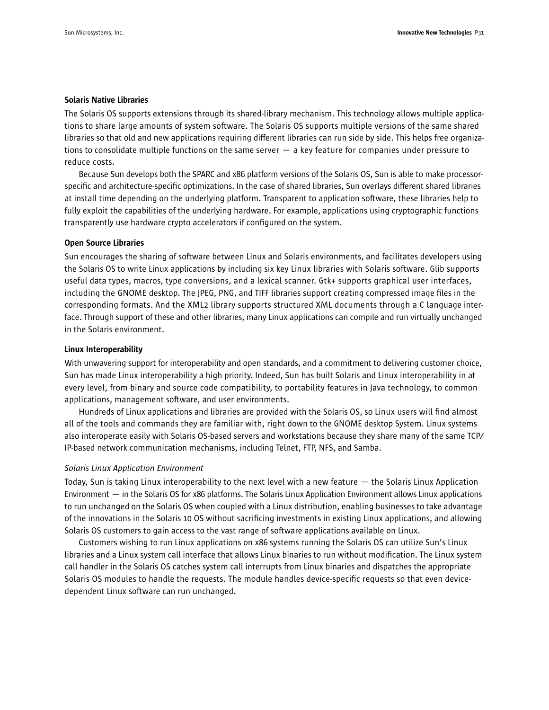#### Solaris Native Libraries

The Solaris OS supports extensions through its shared-library mechanism. This technology allows multiple applications to share large amounts of system software. The Solaris OS supports multiple versions of the same shared libraries so that old and new applications requiring different libraries can run side by side. This helps free organizations to consolidate multiple functions on the same server  $-$  a key feature for companies under pressure to reduce costs.

Because Sun develops both the SPARC and x86 platform versions of the Solaris OS, Sun is able to make processorspecific and architecture-specific optimizations. In the case of shared libraries, Sun overlays different shared libraries at install time depending on the underlying platform. Transparent to application software, these libraries help to fully exploit the capabilities of the underlying hardware. For example, applications using cryptographic functions transparently use hardware crypto accelerators if configured on the system.

#### Open Source Libraries

Sun encourages the sharing of software between Linux and Solaris environments, and facilitates developers using the Solaris OS to write Linux applications by including six key Linux libraries with Solaris software. Glib supports useful data types, macros, type conversions, and a lexical scanner. Gtk+ supports graphical user interfaces, including the GNOME desktop. The JPEG, PNG, and TIFF libraries support creating compressed image files in the corresponding formats. And the XML2 library supports structured XML documents through a C language interface. Through support of these and other libraries, many Linux applications can compile and run virtually unchanged in the Solaris environment.

#### Linux Interoperability

With unwavering support for interoperability and open standards, and a commitment to delivering customer choice, Sun has made Linux interoperability a high priority. Indeed, Sun has built Solaris and Linux interoperability in at every level, from binary and source code compatibility, to portability features in Java technology, to common applications, management software, and user environments.

Hundreds of Linux applications and libraries are provided with the Solaris OS, so Linux users will find almost all of the tools and commands they are familiar with, right down to the GNOME desktop System. Linux systems also interoperate easily with Solaris OS-based servers and workstations because they share many of the same TCP/ IP-based network communication mechanisms, including Telnet, FTP, NFS, and Samba.

#### *Solaris Linux Application Environment*

Today, Sun is taking Linux interoperability to the next level with a new feature — the Solaris Linux Application Environment — in the Solaris OS for x86 platforms. The Solaris Linux Application Environment allows Linux applications to run unchanged on the Solaris OS when coupled with a Linux distribution, enabling businesses to take advantage of the innovations in the Solaris 10 OS without sacrificing investments in existing Linux applications, and allowing Solaris OS customers to gain access to the vast range of software applications available on Linux.

Customers wishing to run Linux applications on x86 systems running the Solaris OS can utilize Sun's Linux libraries and a Linux system call interface that allows Linux binaries to run without modification. The Linux system call handler in the Solaris OS catches system call interrupts from Linux binaries and dispatches the appropriate Solaris OS modules to handle the requests. The module handles device-specific requests so that even devicedependent Linux software can run unchanged.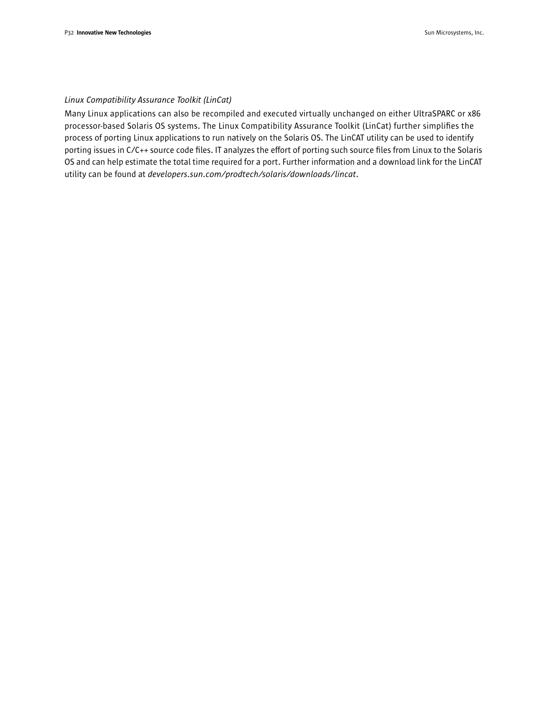#### *Linux Compatibility Assurance Toolkit (LinCat)*

Many Linux applications can also be recompiled and executed virtually unchanged on either UltraSPARC or x86 processor-based Solaris OS systems. The Linux Compatibility Assurance Toolkit (LinCat) further simplifies the process of porting Linux applications to run natively on the Solaris OS. The LinCAT utility can be used to identify porting issues in C/C++ source code files. IT analyzes the effort of porting such source files from Linux to the Solaris OS and can help estimate the total time required for a port. Further information and a download link for the LinCAT utility can be found at *developers.sun.com/prodtech/solaris/downloads/lincat*.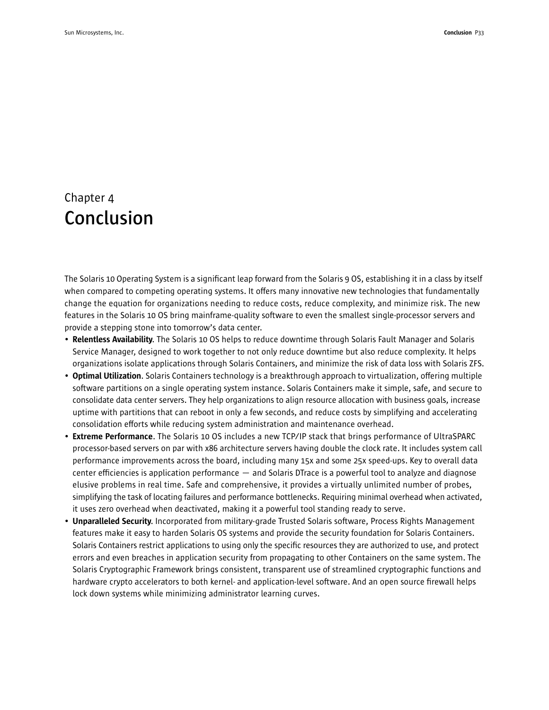## Chapter 4 **Conclusion**

The Solaris 10 Operating System is a significant leap forward from the Solaris 9 OS, establishing it in a class by itself when compared to competing operating systems. It offers many innovative new technologies that fundamentally change the equation for organizations needing to reduce costs, reduce complexity, and minimize risk. The new features in the Solaris 10 OS bring mainframe-quality software to even the smallest single-processor servers and provide a stepping stone into tomorrow's data center.

- Relentless Availability. The Solaris 10 OS helps to reduce downtime through Solaris Fault Manager and Solaris Service Manager, designed to work together to not only reduce downtime but also reduce complexity. It helps organizations isolate applications through Solaris Containers, and minimize the risk of data loss with Solaris ZFS.
- Optimal Utilization. Solaris Containers technology is a breakthrough approach to virtualization, offering multiple software partitions on a single operating system instance. Solaris Containers make it simple, safe, and secure to consolidate data center servers. They help organizations to align resource allocation with business goals, increase uptime with partitions that can reboot in only a few seconds, and reduce costs by simplifying and accelerating consolidation efforts while reducing system administration and maintenance overhead.
- Extreme Performance. The Solaris 10 OS includes a new TCP/IP stack that brings performance of UltraSPARC processor-based servers on par with x86 architecture servers having double the clock rate. It includes system call performance improvements across the board, including many 15x and some 25x speed-ups. Key to overall data center efficiencies is application performance — and Solaris DTrace is a powerful tool to analyze and diagnose elusive problems in real time. Safe and comprehensive, it provides a virtually unlimited number of probes, simplifying the task of locating failures and performance bottlenecks. Requiring minimal overhead when activated, it uses zero overhead when deactivated, making it a powerful tool standing ready to serve.
- Unparalleled Security. Incorporated from military-grade Trusted Solaris software, Process Rights Management features make it easy to harden Solaris OS systems and provide the security foundation for Solaris Containers. Solaris Containers restrict applications to using only the specific resources they are authorized to use, and protect errors and even breaches in application security from propagating to other Containers on the same system. The Solaris Cryptographic Framework brings consistent, transparent use of streamlined cryptographic functions and hardware crypto accelerators to both kernel- and application-level software. And an open source firewall helps lock down systems while minimizing administrator learning curves.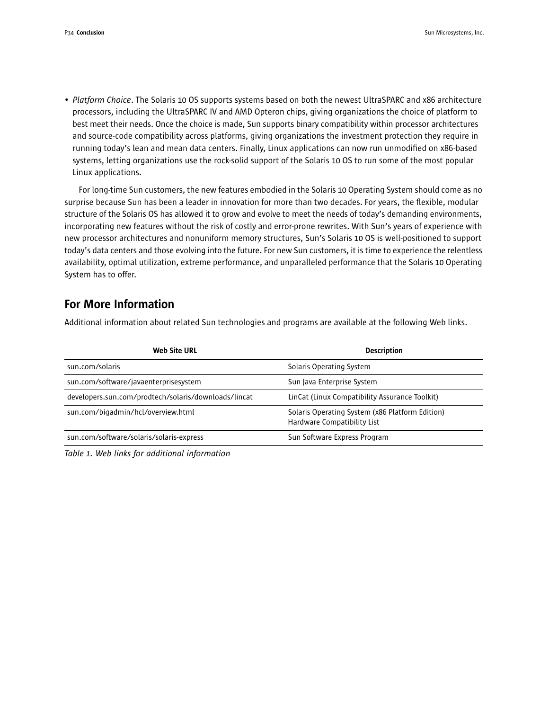• *Platform Choice*. The Solaris 10 OS supports systems based on both the newest UltraSPARC and x86 architecture processors, including the UltraSPARC IV and AMD Opteron chips, giving organizations the choice of platform to best meet their needs. Once the choice is made, Sun supports binary compatibility within processor architectures and source-code compatibility across platforms, giving organizations the investment protection they require in running today's lean and mean data centers. Finally, Linux applications can now run unmodified on x86-based systems, letting organizations use the rock-solid support of the Solaris 10 OS to run some of the most popular Linux applications.

For long-time Sun customers, the new features embodied in the Solaris 10 Operating System should come as no surprise because Sun has been a leader in innovation for more than two decades. For years, the flexible, modular structure of the Solaris OS has allowed it to grow and evolve to meet the needs of today's demanding environments, incorporating new features without the risk of costly and error-prone rewrites. With Sun's years of experience with new processor architectures and nonuniform memory structures, Sun's Solaris 10 OS is well-positioned to support today's data centers and those evolving into the future. For new Sun customers, it is time to experience the relentless availability, optimal utilization, extreme performance, and unparalleled performance that the Solaris 10 Operating System has to offer.

## For More Information

Additional information about related Sun technologies and programs are available at the following Web links.

| <b>Web Site URL</b>                                  | <b>Description</b>                                                             |
|------------------------------------------------------|--------------------------------------------------------------------------------|
| sun.com/solaris                                      | Solaris Operating System                                                       |
| sun.com/software/javaenterprisesystem                | Sun Java Enterprise System                                                     |
| developers.sun.com/prodtech/solaris/downloads/lincat | LinCat (Linux Compatibility Assurance Toolkit)                                 |
| sun.com/bigadmin/hcl/overview.html                   | Solaris Operating System (x86 Platform Edition)<br>Hardware Compatibility List |
| sun.com/software/solaris/solaris-express             | Sun Software Express Program                                                   |
|                                                      |                                                                                |

*Table 1. Web links for additional information*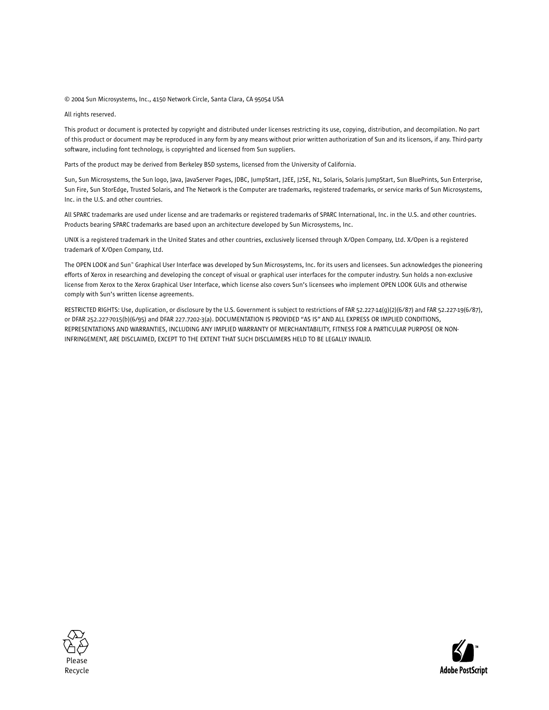#### © 2004 Sun Microsystems, Inc., 4150 Network Circle, Santa Clara, CA 95054 USA

All rights reserved.

This product or document is protected by copyright and distributed under licenses restricting its use, copying, distribution, and decompilation. No part of this product or document may be reproduced in any form by any means without prior written authorization of Sun and its licensors, if any. Third-party software, including font technology, is copyrighted and licensed from Sun suppliers.

Parts of the product may be derived from Berkeley BSD systems, licensed from the University of California.

Sun, Sun Microsystems, the Sun logo, Java, JavaServer Pages, JDBC, JumpStart, J2EE, J2SE, N1, Solaris, Solaris JumpStart, Sun BluePrints, Sun Enterprise, Sun Fire, Sun StorEdge, Trusted Solaris, and The Network is the Computer are trademarks, registered trademarks, or service marks of Sun Microsystems, Inc. in the U.S. and other countries.

All SPARC trademarks are used under license and are trademarks or registered trademarks of SPARC International, Inc. in the U.S. and other countries. Products bearing SPARC trademarks are based upon an architecture developed by Sun Microsystems, Inc.

UNIX is a registered trademark in the United States and other countries, exclusively licensed through X/Open Company, Ltd. X/Open is a registered trademark of X/Open Company, Ltd.

The OPEN LOOK and Sun™ Graphical User Interface was developed by Sun Microsystems, Inc. for its users and licensees. Sun acknowledges the pioneering efforts of Xerox in researching and developing the concept of visual or graphical user interfaces for the computer industry. Sun holds a non-exclusive license from Xerox to the Xerox Graphical User Interface, which license also covers Sun's licensees who implement OPEN LOOK GUIs and otherwise comply with Sun's written license agreements.

RESTRICTED RIGHTS: Use, duplication, or disclosure by the U.S. Government is subject to restrictions of FAR 52.227-14(g)(2)(6/87) and FAR 52.227-19(6/87), or DFAR 252.227-7015(b)(6/95) and DFAR 227.7202-3(a). DOCUMENTATION IS PROVIDED "AS IS" AND ALL EXPRESS OR IMPLIED CONDITIONS, REPRESENTATIONS AND WARRANTIES, INCLUDING ANY IMPLIED WARRANTY OF MERCHANTABILITY, FITNESS FOR A PARTICULAR PURPOSE OR NON-INFRINGEMENT, ARE DISCLAIMED, EXCEPT TO THE EXTENT THAT SUCH DISCLAIMERS HELD TO BE LEGALLY INVALID.